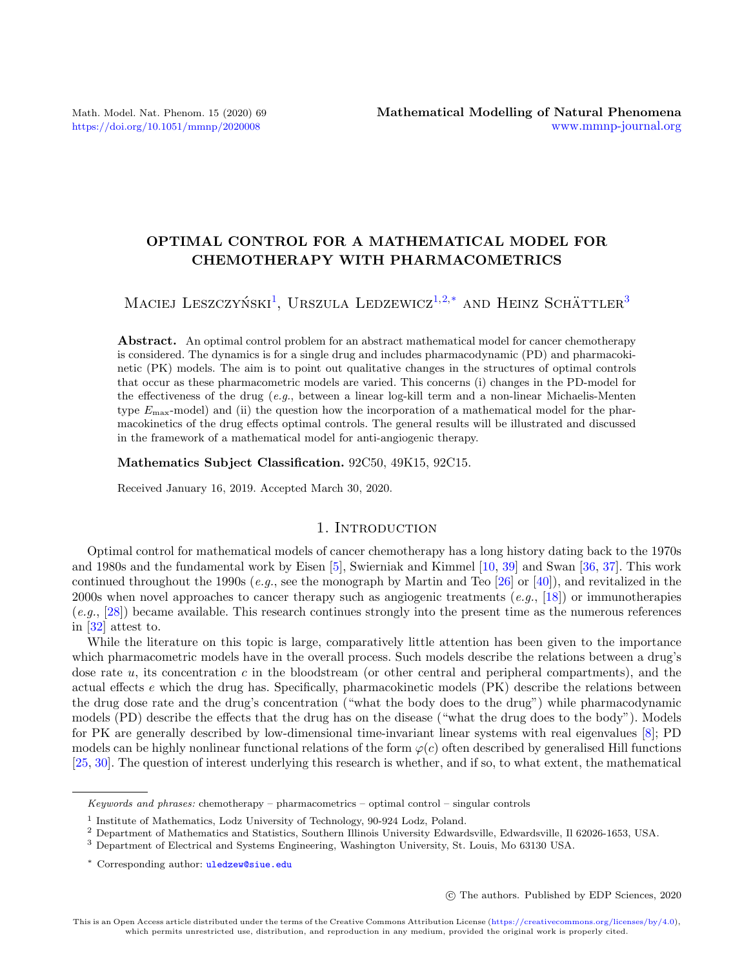# OPTIMAL CONTROL FOR A MATHEMATICAL MODEL FOR CHEMOTHERAPY WITH PHARMACOMETRICS

Maciej Leszczyński<sup>[1](#page-0-0)</sup>, Urszula Ledzewicz<sup>[1,](#page-0-0)[2,](#page-0-1)[\\*](#page-0-2)</sup> and Heinz Schättler<sup>[3](#page-0-3)</sup>

Abstract. An optimal control problem for an abstract mathematical model for cancer chemotherapy is considered. The dynamics is for a single drug and includes pharmacodynamic (PD) and pharmacokinetic (PK) models. The aim is to point out qualitative changes in the structures of optimal controls that occur as these pharmacometric models are varied. This concerns (i) changes in the PD-model for the effectiveness of the drug  $(e.g.,\)$  between a linear log-kill term and a non-linear Michaelis-Menten type  $E_{\text{max}}$ -model) and (ii) the question how the incorporation of a mathematical model for the pharmacokinetics of the drug effects optimal controls. The general results will be illustrated and discussed in the framework of a mathematical model for anti-angiogenic therapy.

Mathematics Subject Classification. 92C50, 49K15, 92C15.

Received January 16, 2019. Accepted March 30, 2020.

## 1. INTRODUCTION

Optimal control for mathematical models of cancer chemotherapy has a long history dating back to the 1970s and 1980s and the fundamental work by Eisen [\[5\]](#page-21-0), Swierniak and Kimmel [\[10,](#page-21-1) [39\]](#page-22-0) and Swan [\[36,](#page-22-1) [37\]](#page-22-2). This work continued throughout the 1990s (e.g., see the monograph by Martin and Teo [\[26\]](#page-21-2) or [\[40\]](#page-22-3)), and revitalized in the 2000s when novel approaches to cancer therapy such as angiogenic treatments (e.g., [\[18\]](#page-21-3)) or immunotherapies (e.g., [\[28\]](#page-21-4)) became available. This research continues strongly into the present time as the numerous references in [\[32\]](#page-22-4) attest to.

While the literature on this topic is large, comparatively little attention has been given to the importance which pharmacometric models have in the overall process. Such models describe the relations between a drug's dose rate  $u$ , its concentration c in the bloodstream (or other central and peripheral compartments), and the actual effects e which the drug has. Specifically, pharmacokinetic models (PK) describe the relations between the drug dose rate and the drug's concentration ("what the body does to the drug") while pharmacodynamic models (PD) describe the effects that the drug has on the disease ("what the drug does to the body"). Models for PK are generally described by low-dimensional time-invariant linear systems with real eigenvalues [\[8\]](#page-21-5); PD models can be highly nonlinear functional relations of the form  $\varphi(c)$  often described by generalised Hill functions [\[25,](#page-21-6) [30\]](#page-22-5). The question of interest underlying this research is whether, and if so, to what extent, the mathematical

c The authors. Published by EDP Sciences, 2020

<span id="page-0-2"></span>Keywords and phrases: chemotherapy – pharmacometrics – optimal control – singular controls

<span id="page-0-0"></span><sup>&</sup>lt;sup>1</sup> Institute of Mathematics, Lodz University of Technology, 90-924 Lodz, Poland.

<span id="page-0-1"></span><sup>2</sup> Department of Mathematics and Statistics, Southern Illinois University Edwardsville, Edwardsville, Il 62026-1653, USA.

<span id="page-0-3"></span><sup>3</sup> Department of Electrical and Systems Engineering, Washington University, St. Louis, Mo 63130 USA.

<sup>\*</sup> Corresponding author: [uledzew@siue.edu](mailto:uledzew@siue.edu)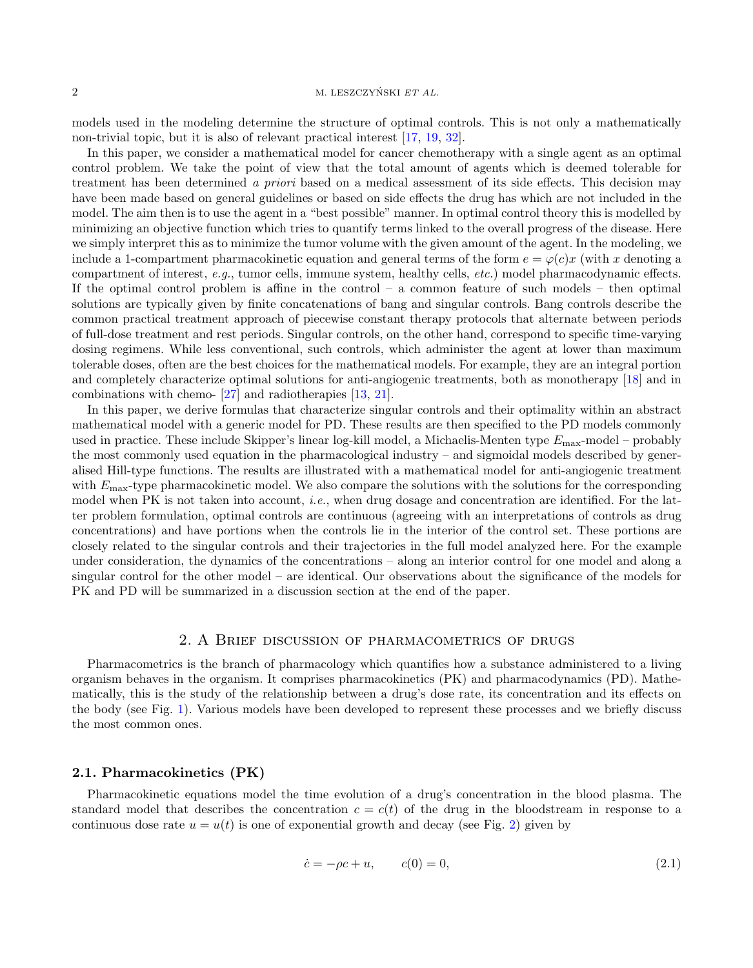#### 2 M. LESZCZYŃSKI  $ET AL$ .

models used in the modeling determine the structure of optimal controls. This is not only a mathematically non-trivial topic, but it is also of relevant practical interest [\[17,](#page-21-7) [19,](#page-21-8) [32\]](#page-22-4).

In this paper, we consider a mathematical model for cancer chemotherapy with a single agent as an optimal control problem. We take the point of view that the total amount of agents which is deemed tolerable for treatment has been determined a priori based on a medical assessment of its side effects. This decision may have been made based on general guidelines or based on side effects the drug has which are not included in the model. The aim then is to use the agent in a "best possible" manner. In optimal control theory this is modelled by minimizing an objective function which tries to quantify terms linked to the overall progress of the disease. Here we simply interpret this as to minimize the tumor volume with the given amount of the agent. In the modeling, we include a 1-compartment pharmacokinetic equation and general terms of the form  $e = \varphi(c)x$  (with x denoting a compartment of interest, e.g., tumor cells, immune system, healthy cells, etc.) model pharmacodynamic effects. If the optimal control problem is affine in the control – a common feature of such models – then optimal solutions are typically given by finite concatenations of bang and singular controls. Bang controls describe the common practical treatment approach of piecewise constant therapy protocols that alternate between periods of full-dose treatment and rest periods. Singular controls, on the other hand, correspond to specific time-varying dosing regimens. While less conventional, such controls, which administer the agent at lower than maximum tolerable doses, often are the best choices for the mathematical models. For example, they are an integral portion and completely characterize optimal solutions for anti-angiogenic treatments, both as monotherapy [\[18\]](#page-21-3) and in combinations with chemo- [\[27\]](#page-21-9) and radiotherapies [\[13,](#page-21-10) [21\]](#page-21-11).

In this paper, we derive formulas that characterize singular controls and their optimality within an abstract mathematical model with a generic model for PD. These results are then specified to the PD models commonly used in practice. These include Skipper's linear log-kill model, a Michaelis-Menten type  $E_{\text{max}}$ -model – probably the most commonly used equation in the pharmacological industry – and sigmoidal models described by generalised Hill-type functions. The results are illustrated with a mathematical model for anti-angiogenic treatment with  $E_{\text{max}}$ -type pharmacokinetic model. We also compare the solutions with the solutions for the corresponding model when PK is not taken into account, *i.e.*, when drug dosage and concentration are identified. For the latter problem formulation, optimal controls are continuous (agreeing with an interpretations of controls as drug concentrations) and have portions when the controls lie in the interior of the control set. These portions are closely related to the singular controls and their trajectories in the full model analyzed here. For the example under consideration, the dynamics of the concentrations – along an interior control for one model and along a singular control for the other model – are identical. Our observations about the significance of the models for PK and PD will be summarized in a discussion section at the end of the paper.

### 2. A Brief discussion of pharmacometrics of drugs

Pharmacometrics is the branch of pharmacology which quantifies how a substance administered to a living organism behaves in the organism. It comprises pharmacokinetics (PK) and pharmacodynamics (PD). Mathematically, this is the study of the relationship between a drug's dose rate, its concentration and its effects on the body (see Fig. [1\)](#page-2-0). Various models have been developed to represent these processes and we briefly discuss the most common ones.

#### 2.1. Pharmacokinetics (PK)

Pharmacokinetic equations model the time evolution of a drug's concentration in the blood plasma. The standard model that describes the concentration  $c = c(t)$  of the drug in the bloodstream in response to a continuous dose rate  $u = u(t)$  is one of exponential growth and decay (see Fig. [2\)](#page-2-1) given by

$$
\dot{c} = -\rho c + u, \qquad c(0) = 0,\tag{2.1}
$$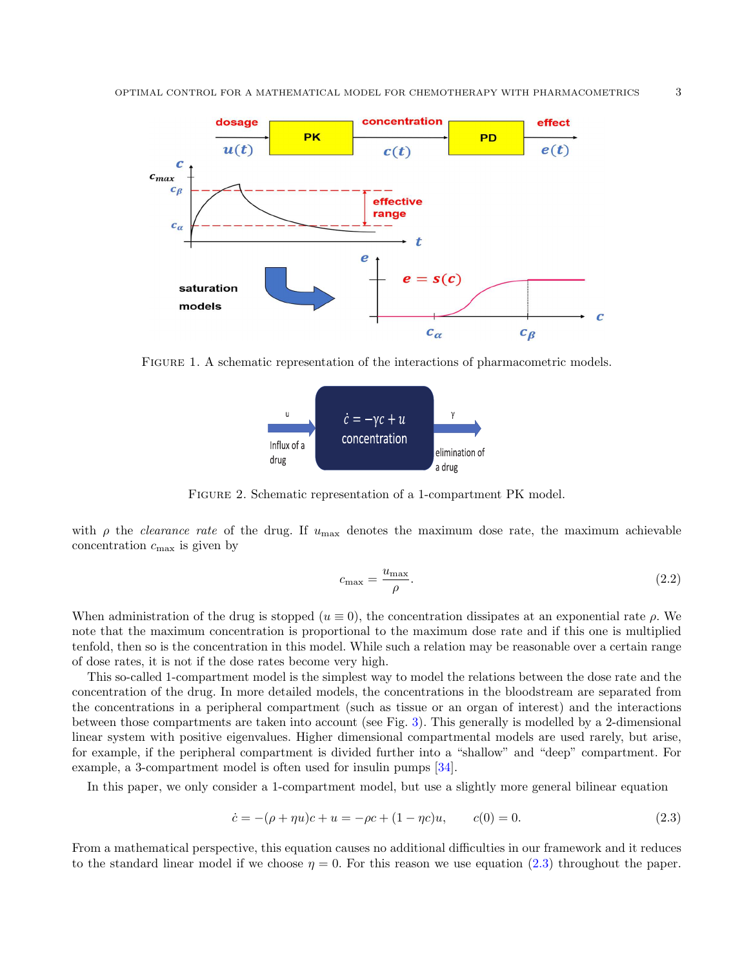

Figure 1. A schematic representation of the interactions of pharmacometric models.

<span id="page-2-0"></span>

<span id="page-2-1"></span>Figure 2. Schematic representation of a 1-compartment PK model.

with  $\rho$  the *clearance rate* of the drug. If  $u_{\text{max}}$  denotes the maximum dose rate, the maximum achievable concentration  $c_{\text{max}}$  is given by

$$
c_{\text{max}} = \frac{u_{\text{max}}}{\rho}.\tag{2.2}
$$

When administration of the drug is stopped ( $u \equiv 0$ ), the concentration dissipates at an exponential rate  $\rho$ . We note that the maximum concentration is proportional to the maximum dose rate and if this one is multiplied tenfold, then so is the concentration in this model. While such a relation may be reasonable over a certain range of dose rates, it is not if the dose rates become very high.

This so-called 1-compartment model is the simplest way to model the relations between the dose rate and the concentration of the drug. In more detailed models, the concentrations in the bloodstream are separated from the concentrations in a peripheral compartment (such as tissue or an organ of interest) and the interactions between those compartments are taken into account (see Fig. [3\)](#page-3-0). This generally is modelled by a 2-dimensional linear system with positive eigenvalues. Higher dimensional compartmental models are used rarely, but arise, for example, if the peripheral compartment is divided further into a "shallow" and "deep" compartment. For example, a 3-compartment model is often used for insulin pumps [\[34\]](#page-22-6).

In this paper, we only consider a 1-compartment model, but use a slightly more general bilinear equation

<span id="page-2-2"></span>
$$
\dot{c} = -(\rho + \eta u)c + u = -\rho c + (1 - \eta c)u, \qquad c(0) = 0. \tag{2.3}
$$

From a mathematical perspective, this equation causes no additional difficulties in our framework and it reduces to the standard linear model if we choose  $\eta = 0$ . For this reason we use equation [\(2.3\)](#page-2-2) throughout the paper.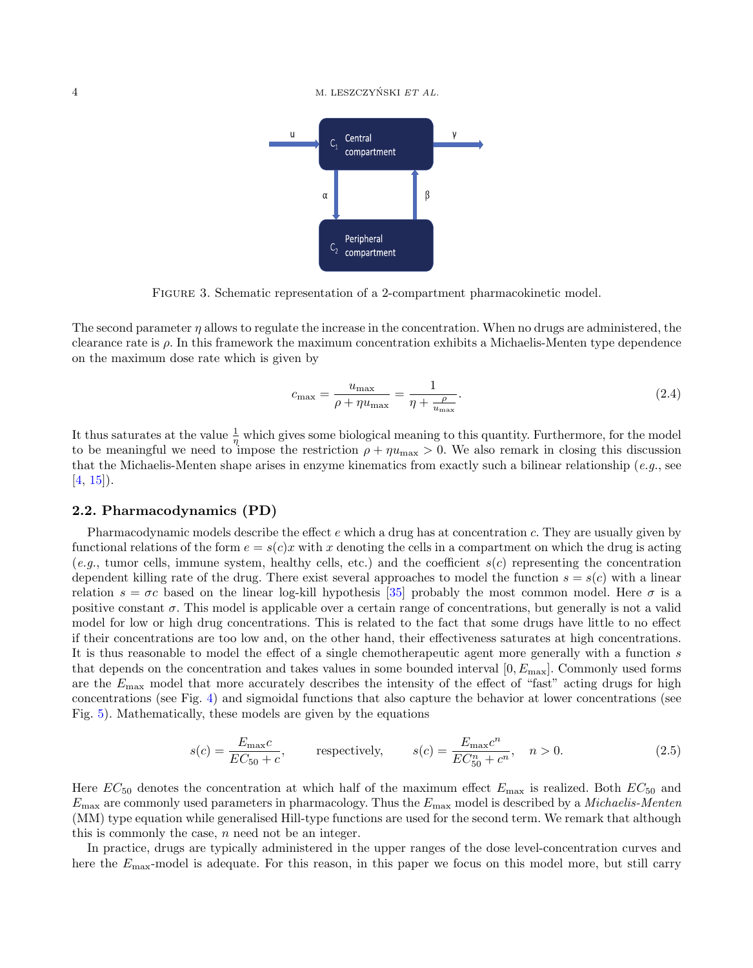#### $\mathbf{A}$  M. LESZCZYŃSKI ET AL.



<span id="page-3-0"></span>Figure 3. Schematic representation of a 2-compartment pharmacokinetic model.

The second parameter  $\eta$  allows to regulate the increase in the concentration. When no drugs are administered, the clearance rate is  $\rho$ . In this framework the maximum concentration exhibits a Michaelis-Menten type dependence on the maximum dose rate which is given by

$$
c_{\max} = \frac{u_{\max}}{\rho + \eta u_{\max}} = \frac{1}{\eta + \frac{\rho}{u_{\max}}}.
$$
\n(2.4)

It thus saturates at the value  $\frac{1}{\eta}$  which gives some biological meaning to this quantity. Furthermore, for the model to be meaningful we need to impose the restriction  $\rho + \eta u_{\text{max}} > 0$ . We also remark in closing this discussion that the Michaelis-Menten shape arises in enzyme kinematics from exactly such a bilinear relationship (e.g., see  $[4, 15]$  $[4, 15]$  $[4, 15]$ .

#### <span id="page-3-1"></span>2.2. Pharmacodynamics (PD)

Pharmacodynamic models describe the effect e which a drug has at concentration c. They are usually given by functional relations of the form  $e = s(c)x$  with x denoting the cells in a compartment on which the drug is acting  $(e,q)$ , tumor cells, immune system, healthy cells, etc.) and the coefficient  $s(c)$  representing the concentration dependent killing rate of the drug. There exist several approaches to model the function  $s = s(c)$  with a linear relation  $s = \sigma c$  based on the linear log-kill hypothesis [\[35\]](#page-22-7) probably the most common model. Here  $\sigma$  is a positive constant  $\sigma$ . This model is applicable over a certain range of concentrations, but generally is not a valid model for low or high drug concentrations. This is related to the fact that some drugs have little to no effect if their concentrations are too low and, on the other hand, their effectiveness saturates at high concentrations. It is thus reasonable to model the effect of a single chemotherapeutic agent more generally with a function s that depends on the concentration and takes values in some bounded interval  $[0, E_{\text{max}}]$ . Commonly used forms are the  $E_{\text{max}}$  model that more accurately describes the intensity of the effect of "fast" acting drugs for high concentrations (see Fig. [4\)](#page-4-0) and sigmoidal functions that also capture the behavior at lower concentrations (see Fig. [5\)](#page-4-1). Mathematically, these models are given by the equations

$$
s(c) = \frac{E_{\text{max}}c}{EC_{50} + c}, \qquad \text{respectively,} \qquad s(c) = \frac{E_{\text{max}}c^n}{EC_{50}^n + c^n}, \quad n > 0. \tag{2.5}
$$

Here  $EC_{50}$  denotes the concentration at which half of the maximum effect  $E_{\text{max}}$  is realized. Both  $EC_{50}$  and  $E_{\text{max}}$  are commonly used parameters in pharmacology. Thus the  $E_{\text{max}}$  model is described by a *Michaelis-Menten* (MM) type equation while generalised Hill-type functions are used for the second term. We remark that although this is commonly the case, n need not be an integer.

In practice, drugs are typically administered in the upper ranges of the dose level-concentration curves and here the  $E_{\text{max}}$ -model is adequate. For this reason, in this paper we focus on this model more, but still carry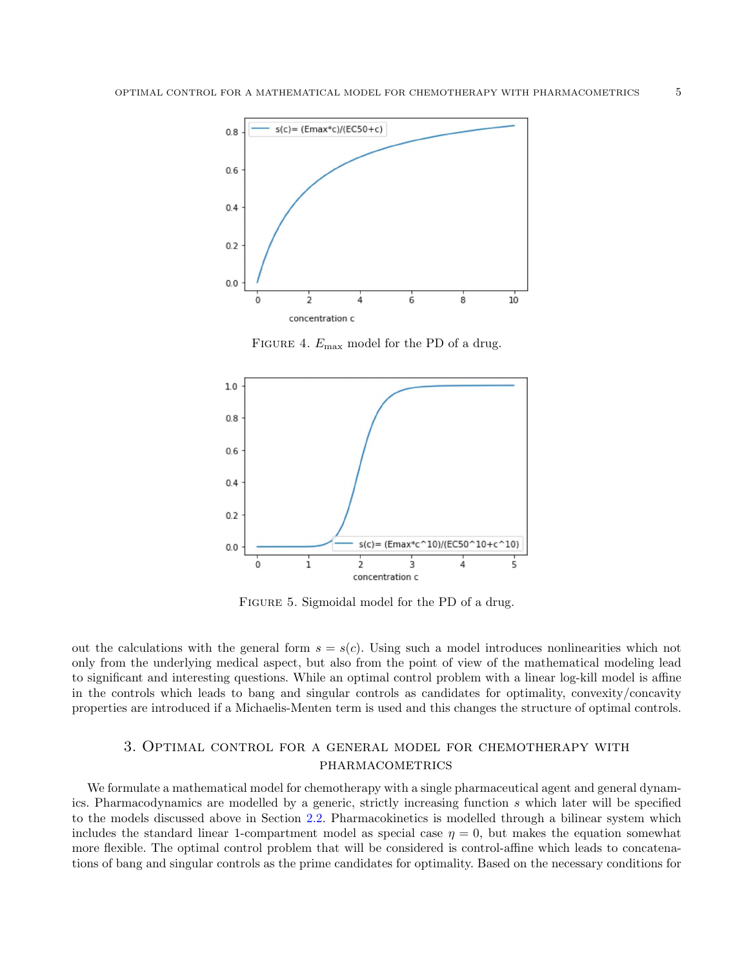

<span id="page-4-0"></span>FIGURE 4.  $E_{\text{max}}$  model for the PD of a drug.



<span id="page-4-1"></span>FIGURE 5. Sigmoidal model for the PD of a drug.

out the calculations with the general form  $s = s(c)$ . Using such a model introduces nonlinearities which not only from the underlying medical aspect, but also from the point of view of the mathematical modeling lead to significant and interesting questions. While an optimal control problem with a linear log-kill model is affine in the controls which leads to bang and singular controls as candidates for optimality, convexity/concavity properties are introduced if a Michaelis-Menten term is used and this changes the structure of optimal controls.

## 3. Optimal control for a general model for chemotherapy with **PHARMACOMETRICS**

<span id="page-4-2"></span>We formulate a mathematical model for chemotherapy with a single pharmaceutical agent and general dynamics. Pharmacodynamics are modelled by a generic, strictly increasing function s which later will be specified to the models discussed above in Section [2.2.](#page-3-1) Pharmacokinetics is modelled through a bilinear system which includes the standard linear 1-compartment model as special case  $\eta = 0$ , but makes the equation somewhat more flexible. The optimal control problem that will be considered is control-affine which leads to concatenations of bang and singular controls as the prime candidates for optimality. Based on the necessary conditions for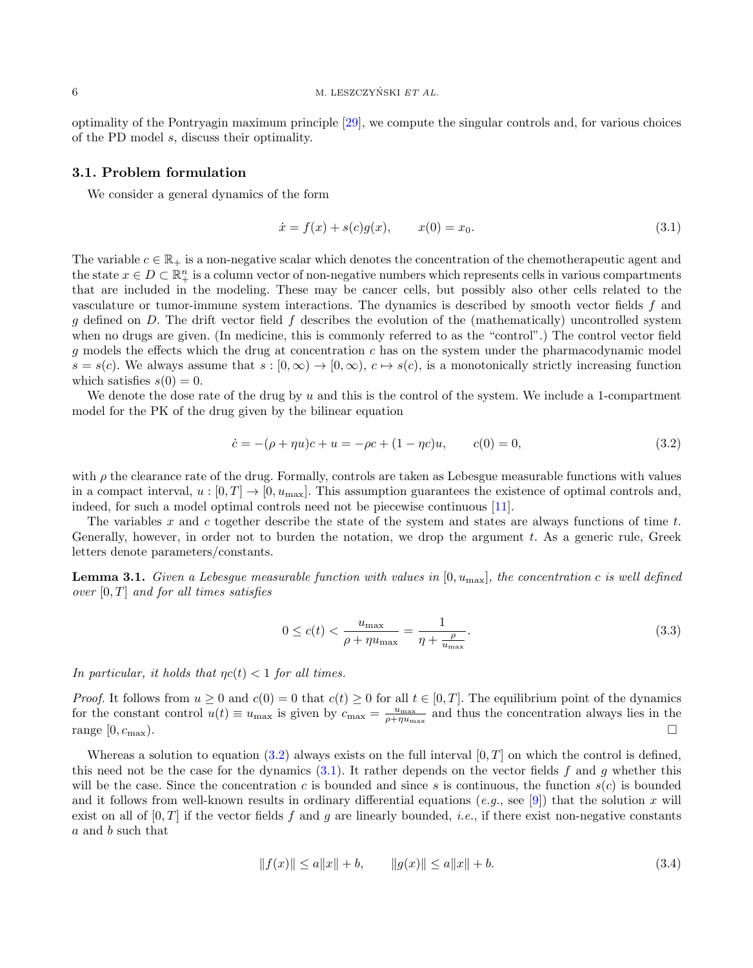optimality of the Pontryagin maximum principle [\[29\]](#page-21-14), we compute the singular controls and, for various choices of the PD model s, discuss their optimality.

#### 3.1. Problem formulation

We consider a general dynamics of the form

<span id="page-5-1"></span>
$$
\dot{x} = f(x) + s(c)g(x), \qquad x(0) = x_0. \tag{3.1}
$$

The variable  $c \in \mathbb{R}_+$  is a non-negative scalar which denotes the concentration of the chemotherapeutic agent and the state  $x \in D \subset \mathbb{R}^n_+$  is a column vector of non-negative numbers which represents cells in various compartments that are included in the modeling. These may be cancer cells, but possibly also other cells related to the vasculature or tumor-immune system interactions. The dynamics is described by smooth vector fields f and g defined on D. The drift vector field f describes the evolution of the (mathematically) uncontrolled system when no drugs are given. (In medicine, this is commonly referred to as the "control".) The control vector field g models the effects which the drug at concentration  $c$  has on the system under the pharmacodynamic model  $s = s(c)$ . We always assume that  $s : [0, \infty) \to [0, \infty)$ ,  $c \mapsto s(c)$ , is a monotonically strictly increasing function which satisfies  $s(0) = 0$ .

We denote the dose rate of the drug by u and this is the control of the system. We include a 1-compartment model for the PK of the drug given by the bilinear equation

<span id="page-5-0"></span>
$$
\dot{c} = -(\rho + \eta u)c + u = -\rho c + (1 - \eta c)u, \qquad c(0) = 0,
$$
\n(3.2)

with  $\rho$  the clearance rate of the drug. Formally, controls are taken as Lebesgue measurable functions with values in a compact interval,  $u : [0, T] \to [0, u_{\text{max}}]$ . This assumption guarantees the existence of optimal controls and, indeed, for such a model optimal controls need not be piecewise continuous [\[11\]](#page-21-15).

The variables x and c together describe the state of the system and states are always functions of time t. Generally, however, in order not to burden the notation, we drop the argument  $t$ . As a generic rule, Greek letters denote parameters/constants.

**Lemma 3.1.** Given a Lebesgue measurable function with values in  $[0, u_{\text{max}}]$ , the concentration c is well defined over  $[0, T]$  and for all times satisfies

$$
0 \le c(t) < \frac{u_{\text{max}}}{\rho + \eta u_{\text{max}}} = \frac{1}{\eta + \frac{\rho}{u_{\text{max}}}}.\tag{3.3}
$$

In particular, it holds that  $\eta c(t) < 1$  for all times.

*Proof.* It follows from  $u \ge 0$  and  $c(0) = 0$  that  $c(t) \ge 0$  for all  $t \in [0, T]$ . The equilibrium point of the dynamics for the constant control  $u(t) \equiv u_{\text{max}}$  is given by  $c_{\text{max}} = \frac{u_{\text{max}}}{\rho + \eta u_{\text{max}}}$  and thus the concentration always lies in the range  $[0, c_{\text{max}})$ .

Whereas a solution to equation [\(3.2\)](#page-5-0) always exists on the full interval  $[0, T]$  on which the control is defined, this need not be the case for the dynamics  $(3.1)$ . It rather depends on the vector fields f and q whether this will be the case. Since the concentration c is bounded and since s is continuous, the function  $s(c)$  is bounded and it follows from well-known results in ordinary differential equations (e.g., see [\[9\]](#page-21-16)) that the solution x will exist on all of  $[0, T]$  if the vector fields f and g are linearly bounded, *i.e.*, if there exist non-negative constants a and b such that

$$
||f(x)|| \le a||x|| + b, \qquad ||g(x)|| \le a||x|| + b. \tag{3.4}
$$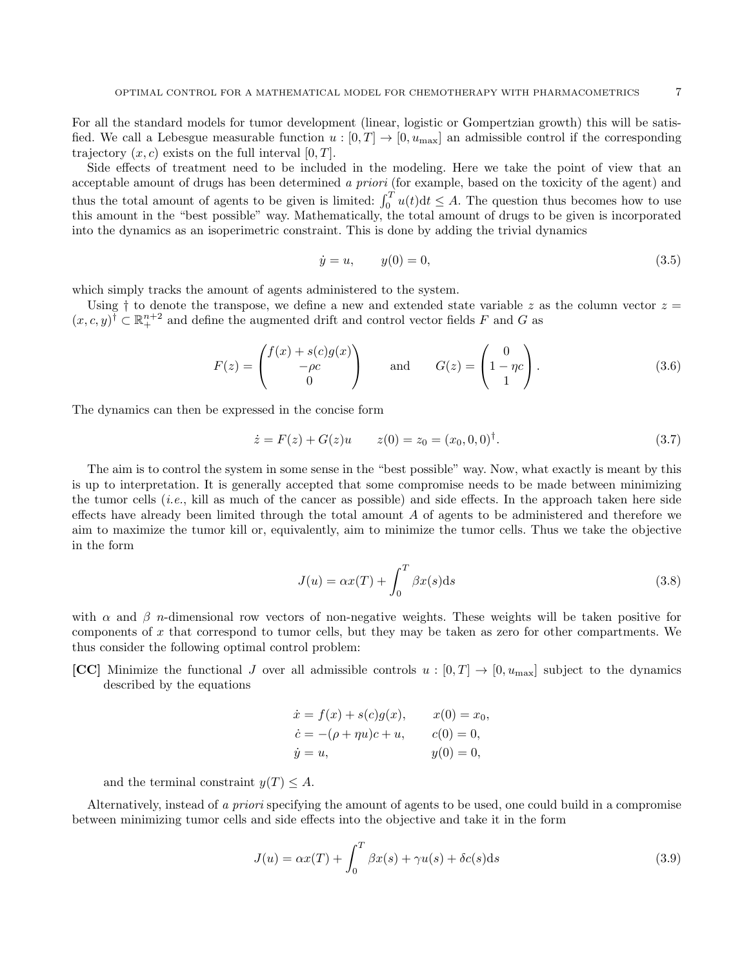For all the standard models for tumor development (linear, logistic or Gompertzian growth) this will be satisfied. We call a Lebesgue measurable function  $u : [0, T] \to [0, u_{\text{max}}]$  an admissible control if the corresponding trajectory  $(x, c)$  exists on the full interval  $[0, T]$ .

Side effects of treatment need to be included in the modeling. Here we take the point of view that an acceptable amount of drugs has been determined a priori (for example, based on the toxicity of the agent) and thus the total amount of agents to be given is limited:  $\int_0^T u(t) dt \leq A$ . The question thus becomes how to use this amount in the "best possible" way. Mathematically, the total amount of drugs to be given is incorporated into the dynamics as an isoperimetric constraint. This is done by adding the trivial dynamics

$$
\dot{y} = u, \qquad y(0) = 0,\tag{3.5}
$$

which simply tracks the amount of agents administered to the system.

Using  $\dagger$  to denote the transpose, we define a new and extended state variable z as the column vector  $z =$  $(x, c, y)$ <sup>†</sup>  $\subset \mathbb{R}^{n+2}_+$  and define the augmented drift and control vector fields F and G as

$$
F(z) = \begin{pmatrix} f(x) + s(c)g(x) \\ -\rho c \\ 0 \end{pmatrix} \quad \text{and} \quad G(z) = \begin{pmatrix} 0 \\ 1 - \eta c \\ 1 \end{pmatrix}.
$$
 (3.6)

The dynamics can then be expressed in the concise form

<span id="page-6-1"></span>
$$
\dot{z} = F(z) + G(z)u \qquad z(0) = z_0 = (x_0, 0, 0)^{\dagger}.
$$
\n(3.7)

The aim is to control the system in some sense in the "best possible" way. Now, what exactly is meant by this is up to interpretation. It is generally accepted that some compromise needs to be made between minimizing the tumor cells *(i.e., kill as much of the cancer as possible)* and side effects. In the approach taken here side effects have already been limited through the total amount  $A$  of agents to be administered and therefore we aim to maximize the tumor kill or, equivalently, aim to minimize the tumor cells. Thus we take the objective in the form

$$
J(u) = \alpha x(T) + \int_0^T \beta x(s) \, \mathrm{d}s \tag{3.8}
$$

with  $\alpha$  and  $\beta$  n-dimensional row vectors of non-negative weights. These weights will be taken positive for components of x that correspond to tumor cells, but they may be taken as zero for other compartments. We thus consider the following optimal control problem:

[CC] Minimize the functional J over all admissible controls  $u : [0, T] \to [0, u_{\text{max}}]$  subject to the dynamics described by the equations

$$
\dot{x} = f(x) + s(c)g(x), \qquad x(0) = x_0, \n\dot{c} = -(\rho + \eta u)c + u, \qquad c(0) = 0, \n\dot{y} = u, \qquad y(0) = 0,
$$

and the terminal constraint  $y(T) \leq A$ .

Alternatively, instead of a priori specifying the amount of agents to be used, one could build in a compromise between minimizing tumor cells and side effects into the objective and take it in the form

<span id="page-6-0"></span>
$$
J(u) = \alpha x(T) + \int_0^T \beta x(s) + \gamma u(s) + \delta c(s) \, \mathrm{d}s \tag{3.9}
$$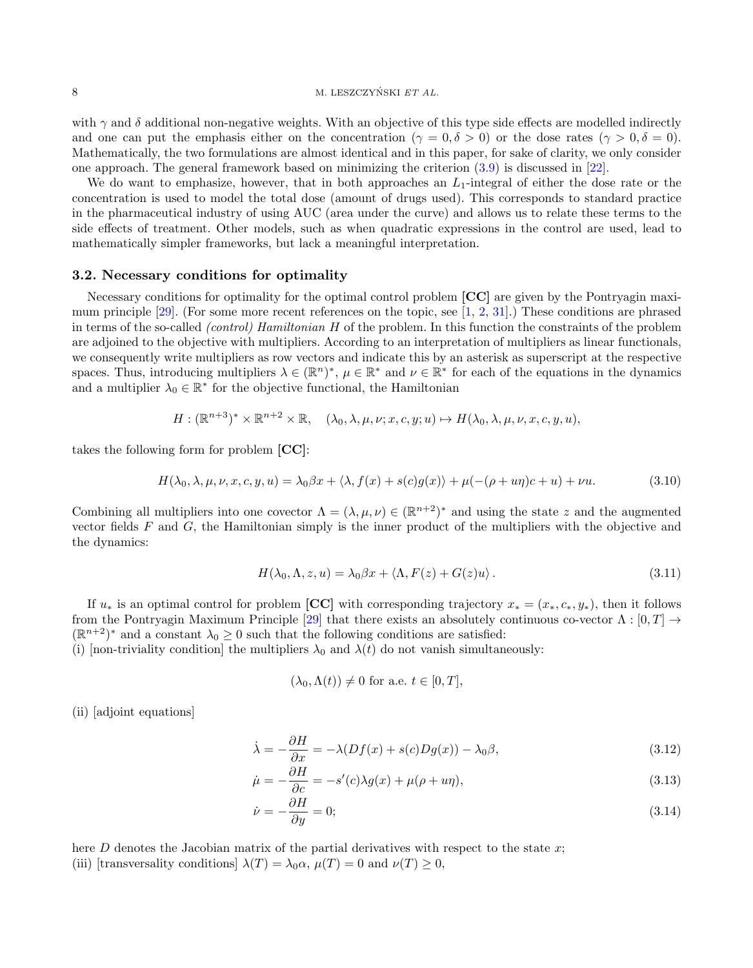with  $\gamma$  and  $\delta$  additional non-negative weights. With an objective of this type side effects are modelled indirectly and one can put the emphasis either on the concentration ( $\gamma = 0, \delta > 0$ ) or the dose rates ( $\gamma > 0, \delta = 0$ ). Mathematically, the two formulations are almost identical and in this paper, for sake of clarity, we only consider one approach. The general framework based on minimizing the criterion [\(3.9\)](#page-6-0) is discussed in [\[22\]](#page-21-17).

We do want to emphasize, however, that in both approaches an  $L_1$ -integral of either the dose rate or the concentration is used to model the total dose (amount of drugs used). This corresponds to standard practice in the pharmaceutical industry of using AUC (area under the curve) and allows us to relate these terms to the side effects of treatment. Other models, such as when quadratic expressions in the control are used, lead to mathematically simpler frameworks, but lack a meaningful interpretation.

#### 3.2. Necessary conditions for optimality

Necessary conditions for optimality for the optimal control problem [CC] are given by the Pontryagin maximum principle [\[29\]](#page-21-14). (For some more recent references on the topic, see [\[1,](#page-21-18) [2,](#page-21-19) [31\]](#page-22-8).) These conditions are phrased in terms of the so-called (control) Hamiltonian H of the problem. In this function the constraints of the problem are adjoined to the objective with multipliers. According to an interpretation of multipliers as linear functionals, we consequently write multipliers as row vectors and indicate this by an asterisk as superscript at the respective spaces. Thus, introducing multipliers  $\lambda \in (\mathbb{R}^n)^*$ ,  $\mu \in \mathbb{R}^*$  and  $\nu \in \mathbb{R}^*$  for each of the equations in the dynamics and a multiplier  $\lambda_0 \in \mathbb{R}^*$  for the objective functional, the Hamiltonian

$$
H: (\mathbb{R}^{n+3})^* \times \mathbb{R}^{n+2} \times \mathbb{R}, \quad (\lambda_0, \lambda, \mu, \nu; x, c, y; u) \mapsto H(\lambda_0, \lambda, \mu, \nu, x, c, y, u),
$$

takes the following form for problem [CC]:

$$
H(\lambda_0, \lambda, \mu, \nu, x, c, y, u) = \lambda_0 \beta x + \langle \lambda, f(x) + s(c)g(x) \rangle + \mu(-(\rho + u\eta)c + u) + \nu u. \tag{3.10}
$$

Combining all multipliers into one covector  $\Lambda = (\lambda, \mu, \nu) \in (\mathbb{R}^{n+2})^*$  and using the state z and the augmented vector fields  $F$  and  $G$ , the Hamiltonian simply is the inner product of the multipliers with the objective and the dynamics:

$$
H(\lambda_0, \Lambda, z, u) = \lambda_0 \beta x + \langle \Lambda, F(z) + G(z)u \rangle.
$$
 (3.11)

If  $u_*$  is an optimal control for problem [CC] with corresponding trajectory  $x_* = (x_*, c_*, y_*)$ , then it follows from the Pontryagin Maximum Principle [\[29\]](#page-21-14) that there exists an absolutely continuous co-vector  $\Lambda : [0, T] \rightarrow$  $(\mathbb{R}^{n+2})^*$  and a constant  $\lambda_0 \geq 0$  such that the following conditions are satisfied:

(i) [non-triviality condition] the multipliers  $\lambda_0$  and  $\lambda(t)$  do not vanish simultaneously:

$$
(\lambda_0, \Lambda(t)) \neq 0
$$
 for a.e.  $t \in [0, T]$ ,

(ii) [adjoint equations]

<span id="page-7-0"></span>
$$
\dot{\lambda} = -\frac{\partial H}{\partial x} = -\lambda (Df(x) + s(c)Dg(x)) - \lambda_0 \beta,
$$
\n(3.12)

$$
\dot{\mu} = -\frac{\partial H}{\partial c} = -s'(c)\lambda g(x) + \mu(\rho + u\eta),\tag{3.13}
$$

$$
\dot{\nu} = -\frac{\partial H}{\partial y} = 0;\tag{3.14}
$$

here  $D$  denotes the Jacobian matrix of the partial derivatives with respect to the state  $x$ ; (iii) [transversality conditions]  $\lambda(T) = \lambda_0 \alpha$ ,  $\mu(T) = 0$  and  $\nu(T) \geq 0$ ,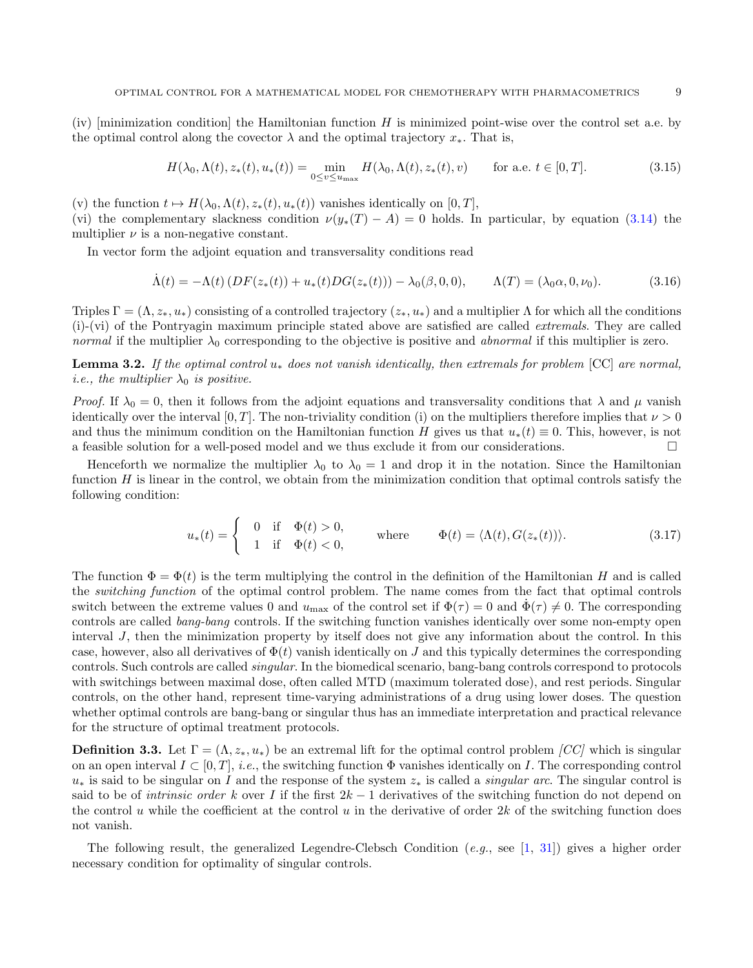(iv)  $\lbrack \text{minimization condition} \rbrack$  the Hamiltonian function H is minimized point-wise over the control set a.e. by the optimal control along the covector  $\lambda$  and the optimal trajectory  $x_*$ . That is,

$$
H(\lambda_0, \Lambda(t), z_*(t), u_*(t)) = \min_{0 \le v \le u_{\text{max}}} H(\lambda_0, \Lambda(t), z_*(t), v) \quad \text{for a.e. } t \in [0, T].
$$
 (3.15)

(v) the function  $t \mapsto H(\lambda_0, \Lambda(t), z_*(t), u_*(t))$  vanishes identically on [0, T],

(vi) the complementary slackness condition  $\nu(y_*(T) - A) = 0$  holds. In particular, by equation [\(3.14\)](#page-7-0) the multiplier  $\nu$  is a non-negative constant.

In vector form the adjoint equation and transversality conditions read

$$
\dot{\Lambda}(t) = -\Lambda(t) \left( DF(z_*(t)) + u_*(t) DG(z_*(t)) \right) - \lambda_0(\beta, 0, 0), \qquad \Lambda(T) = (\lambda_0 \alpha, 0, \nu_0). \tag{3.16}
$$

Triples  $\Gamma = (\Lambda, z_*, u_*)$  consisting of a controlled trajectory  $(z_*, u_*)$  and a multiplier  $\Lambda$  for which all the conditions (i)-(vi) of the Pontryagin maximum principle stated above are satisfied are called extremals. They are called normal if the multiplier  $\lambda_0$  corresponding to the objective is positive and abnormal if this multiplier is zero.

**Lemma 3.2.** If the optimal control  $u_*$  does not vanish identically, then extremals for problem [CC] are normal, *i.e.*, the multiplier  $\lambda_0$  is positive.

Proof. If  $\lambda_0 = 0$ , then it follows from the adjoint equations and transversality conditions that  $\lambda$  and  $\mu$  vanish identically over the interval [0, T]. The non-triviality condition (i) on the multipliers therefore implies that  $\nu > 0$ and thus the minimum condition on the Hamiltonian function H gives us that  $u_*(t) \equiv 0$ . This, however, is not a feasible solution for a well-posed model and we thus exclude it from our considerations.

Henceforth we normalize the multiplier  $\lambda_0$  to  $\lambda_0 = 1$  and drop it in the notation. Since the Hamiltonian function  $H$  is linear in the control, we obtain from the minimization condition that optimal controls satisfy the following condition:

$$
u_*(t) = \begin{cases} 0 & \text{if } \Phi(t) > 0, \\ 1 & \text{if } \Phi(t) < 0, \end{cases} \qquad \text{where} \qquad \Phi(t) = \langle \Lambda(t), G(z_*(t)) \rangle. \tag{3.17}
$$

The function  $\Phi = \Phi(t)$  is the term multiplying the control in the definition of the Hamiltonian H and is called the switching function of the optimal control problem. The name comes from the fact that optimal controls switch between the extreme values 0 and  $u_{\text{max}}$  of the control set if  $\Phi(\tau) = 0$  and  $\dot{\Phi}(\tau) \neq 0$ . The corresponding controls are called bang-bang controls. If the switching function vanishes identically over some non-empty open interval J, then the minimization property by itself does not give any information about the control. In this case, however, also all derivatives of  $\Phi(t)$  vanish identically on J and this typically determines the corresponding controls. Such controls are called singular. In the biomedical scenario, bang-bang controls correspond to protocols with switchings between maximal dose, often called MTD (maximum tolerated dose), and rest periods. Singular controls, on the other hand, represent time-varying administrations of a drug using lower doses. The question whether optimal controls are bang-bang or singular thus has an immediate interpretation and practical relevance for the structure of optimal treatment protocols.

**Definition 3.3.** Let  $\Gamma = (\Lambda, z_*, u_*)$  be an extremal lift for the optimal control problem [CC] which is singular on an open interval  $I \subset [0, T]$ , i.e., the switching function  $\Phi$  vanishes identically on I. The corresponding control  $u_*$  is said to be singular on I and the response of the system  $z_*$  is called a *singular arc*. The singular control is said to be of *intrinsic order k* over I if the first  $2k - 1$  derivatives of the switching function do not depend on the control u while the coefficient at the control u in the derivative of order  $2k$  of the switching function does not vanish.

The following result, the generalized Legendre-Clebsch Condition  $(e.g.,\, see\, [1, 31])$  $(e.g.,\, see\, [1, 31])$  $(e.g.,\, see\, [1, 31])$  $(e.g.,\, see\, [1, 31])$  $(e.g.,\, see\, [1, 31])$  gives a higher order necessary condition for optimality of singular controls.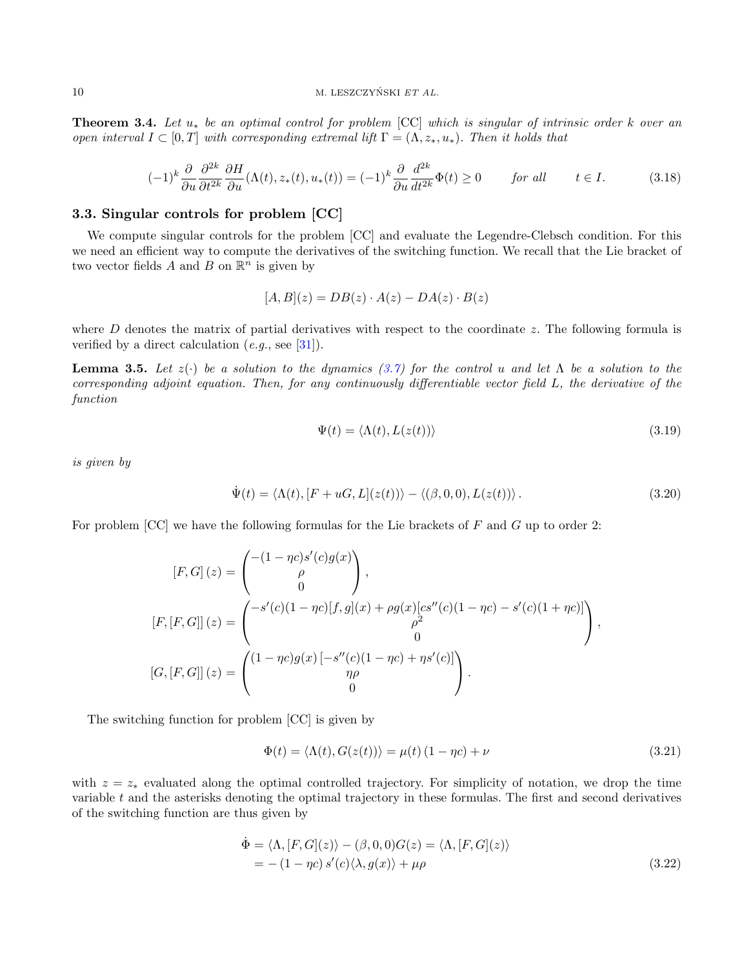**Theorem 3.4.** Let  $u_*$  be an optimal control for problem  $[CC]$  which is singular of intrinsic order k over an open interval  $I \subset [0,T]$  with corresponding extremal lift  $\Gamma = (\Lambda, z_*, u_*)$ . Then it holds that

$$
(-1)^k \frac{\partial}{\partial u} \frac{\partial^{2k}}{\partial t^{2k}} \frac{\partial H}{\partial u}(\Lambda(t), z_*(t), u_*(t)) = (-1)^k \frac{\partial}{\partial u} \frac{d^{2k}}{dt^{2k}} \Phi(t) \ge 0 \qquad \text{for all} \qquad t \in I. \tag{3.18}
$$

#### 3.3. Singular controls for problem [CC]

We compute singular controls for the problem [CC] and evaluate the Legendre-Clebsch condition. For this we need an efficient way to compute the derivatives of the switching function. We recall that the Lie bracket of two vector fields A and B on  $\mathbb{R}^n$  is given by

$$
[A, B](z) = DB(z) \cdot A(z) - DA(z) \cdot B(z)
$$

where  $D$  denotes the matrix of partial derivatives with respect to the coordinate  $z$ . The following formula is verified by a direct calculation  $(e.g.,\, see\ [31]).$  $(e.g.,\, see\ [31]).$  $(e.g.,\, see\ [31]).$ 

**Lemma 3.5.** Let  $z(\cdot)$  be a solution to the dynamics [\(3.7\)](#page-6-1) for the control u and let  $\Lambda$  be a solution to the corresponding adjoint equation. Then, for any continuously differentiable vector field L, the derivative of the function

$$
\Psi(t) = \langle \Lambda(t), L(z(t)) \rangle \tag{3.19}
$$

is given by

$$
\dot{\Psi}(t) = \langle \Lambda(t), [F + uG, L](z(t)) \rangle - \langle (\beta, 0, 0), L(z(t)) \rangle.
$$
\n(3.20)

For problem  $[CC]$  we have the following formulas for the Lie brackets of F and G up to order 2:

$$
[F, G] (z) = \begin{pmatrix} -(1 - \eta c)s'(c)g(x) \\ \rho \\ 0 \end{pmatrix},
$$
  
\n
$$
[F, [F, G]] (z) = \begin{pmatrix} -s'(c)(1 - \eta c)[f, g](x) + \rho g(x)[cs''(c)(1 - \eta c) - s'(c)(1 + \eta c)] \\ \rho^2 \\ 0 \\ 0 \end{pmatrix},
$$
  
\n
$$
[G, [F, G]] (z) = \begin{pmatrix} (1 - \eta c)g(x) [-s''(c)(1 - \eta c) + \eta s'(c)] \\ \eta \rho \\ 0 \end{pmatrix}.
$$

The switching function for problem [CC] is given by

$$
\Phi(t) = \langle \Lambda(t), G(z(t)) \rangle = \mu(t) (1 - \eta c) + \nu \tag{3.21}
$$

with  $z = z_*$  evaluated along the optimal controlled trajectory. For simplicity of notation, we drop the time variable t and the asterisks denoting the optimal trajectory in these formulas. The first and second derivatives of the switching function are thus given by

$$
\begin{aligned} \n\dot{\Phi} &= \langle \Lambda, [F, G](z) \rangle - (\beta, 0, 0) G(z) = \langle \Lambda, [F, G](z) \rangle \\ \n&= -\left(1 - \eta c\right) s'(c) \langle \lambda, g(x) \rangle + \mu \rho \n\end{aligned} \tag{3.22}
$$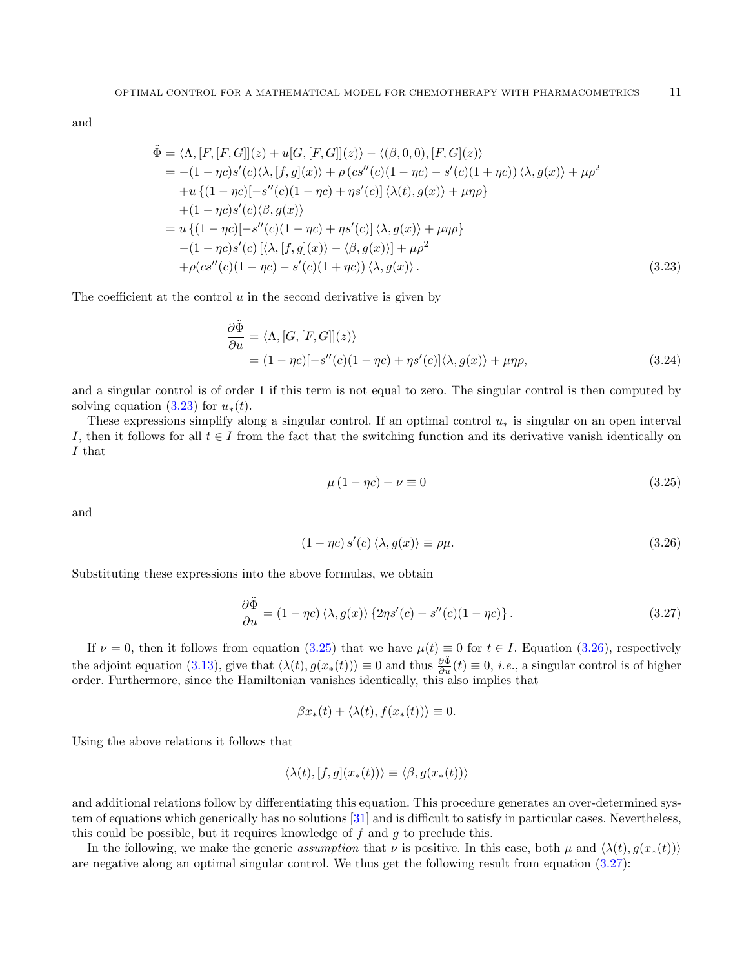and

<span id="page-10-0"></span>
$$
\ddot{\Phi} = \langle \Lambda, [F, [F, G]](z) + u[G, [F, G]](z) \rangle - \langle (\beta, 0, 0), [F, G](z) \rangle \n= -(1 - \eta c)s'(c)\langle \lambda, [f, g](x) \rangle + \rho (cs''(c)(1 - \eta c) - s'(c)(1 + \eta c)) \langle \lambda, g(x) \rangle + \mu \rho^2 \n+ u \{(1 - \eta c)[-s''(c)(1 - \eta c) + \eta s'(c)] \langle \lambda(t), g(x) \rangle + \mu \eta \rho \} \n+ (1 - \eta c)s'(c)\langle \beta, g(x) \rangle \n= u \{(1 - \eta c)[-s''(c)(1 - \eta c) + \eta s'(c)] \langle \lambda, g(x) \rangle + \mu \eta \rho \} \n- (1 - \eta c)s'(c) [\langle \lambda, [f, g](x) \rangle - \langle \beta, g(x) \rangle] + \mu \rho^2 \n+ \rho (cs''(c)(1 - \eta c) - s'(c)(1 + \eta c)) \langle \lambda, g(x) \rangle.
$$
\n(3.23)

The coefficient at the control  $u$  in the second derivative is given by

$$
\frac{\partial \ddot{\Phi}}{\partial u} = \langle \Lambda, [G, [F, G]](z) \rangle \n= (1 - \eta c)[-s''(c)(1 - \eta c) + \eta s'(c)] \langle \lambda, g(x) \rangle + \mu \eta \rho,
$$
\n(3.24)

and a singular control is of order 1 if this term is not equal to zero. The singular control is then computed by solving equation  $(3.23)$  for  $u_*(t)$ .

These expressions simplify along a singular control. If an optimal control  $u_*$  is singular on an open interval I, then it follows for all  $t \in I$  from the fact that the switching function and its derivative vanish identically on I that

<span id="page-10-1"></span>
$$
\mu (1 - \eta c) + \nu \equiv 0 \tag{3.25}
$$

and

<span id="page-10-2"></span>
$$
(1 - \eta c) s'(c) \langle \lambda, g(x) \rangle \equiv \rho \mu. \tag{3.26}
$$

Substituting these expressions into the above formulas, we obtain

<span id="page-10-3"></span>
$$
\frac{\partial \ddot{\Phi}}{\partial u} = (1 - \eta c) \langle \lambda, g(x) \rangle \{2\eta s'(c) - s''(c)(1 - \eta c)\}.
$$
\n(3.27)

If  $\nu = 0$ , then it follows from equation [\(3.25\)](#page-10-1) that we have  $\mu(t) \equiv 0$  for  $t \in I$ . Equation [\(3.26\)](#page-10-2), respectively the adjoint equation [\(3.13\)](#page-7-0), give that  $\langle \lambda(t), g(x_*(t)) \rangle \equiv 0$  and thus  $\frac{\partial \ddot{\Phi}}{\partial u}(t) \equiv 0$ , *i.e.*, a singular control is of higher order. Furthermore, since the Hamiltonian vanishes identically, this also implies that

$$
\beta x_*(t) + \langle \lambda(t), f(x_*(t)) \rangle \equiv 0.
$$

Using the above relations it follows that

$$
\langle \lambda(t), [f, g](x_*(t)) \rangle \equiv \langle \beta, g(x_*(t)) \rangle
$$

and additional relations follow by differentiating this equation. This procedure generates an over-determined system of equations which generically has no solutions [\[31\]](#page-22-8) and is difficult to satisfy in particular cases. Nevertheless, this could be possible, but it requires knowledge of  $f$  and  $g$  to preclude this.

In the following, we make the generic assumption that v is positive. In this case, both  $\mu$  and  $\langle \lambda(t), g(x_*(t)) \rangle$ are negative along an optimal singular control. We thus get the following result from equation [\(3.27\)](#page-10-3):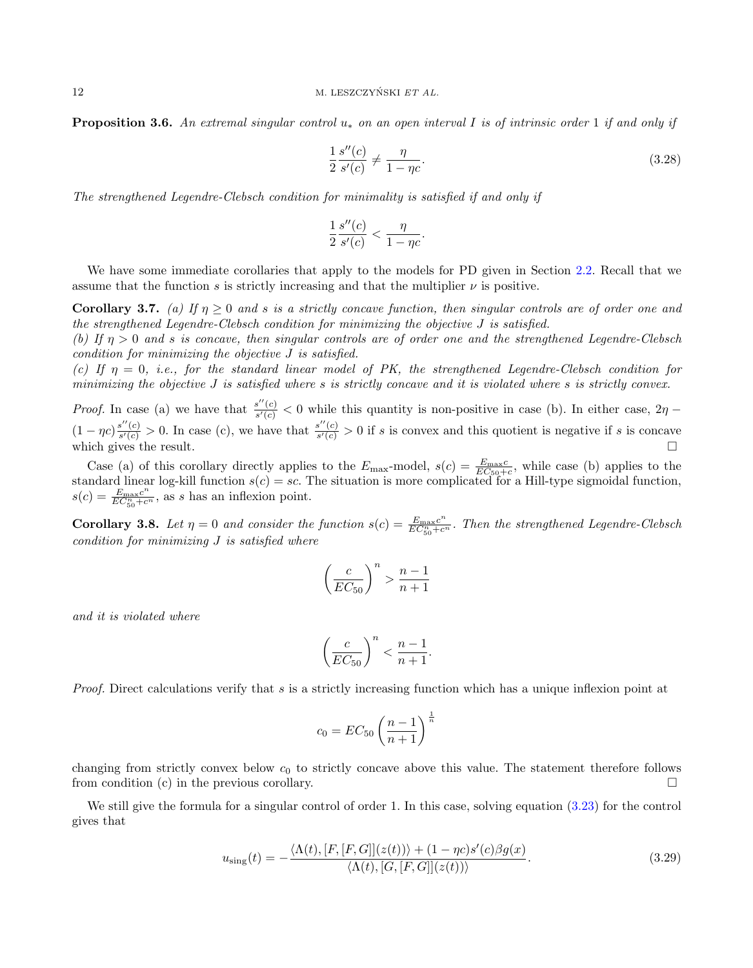**Proposition 3.6.** An extremal singular control  $u_*$  on an open interval I is of intrinsic order 1 if and only if

$$
\frac{1}{2}\frac{s''(c)}{s'(c)} \neq \frac{\eta}{1-\eta c}.\tag{3.28}
$$

The strengthened Legendre-Clebsch condition for minimality is satisfied if and only if

$$
\frac{1}{2}\frac{s''(c)}{s'(c)} < \frac{\eta}{1 - \eta c}
$$

.

We have some immediate corollaries that apply to the models for PD given in Section [2.2.](#page-3-1) Recall that we assume that the function s is strictly increasing and that the multiplier  $\nu$  is positive.

Corollary 3.7. (a) If  $\eta \geq 0$  and s is a strictly concave function, then singular controls are of order one and the strengthened Legendre-Clebsch condition for minimizing the objective J is satisfied.

(b) If  $\eta > 0$  and s is concave, then singular controls are of order one and the strengthened Legendre-Clebsch condition for minimizing the objective J is satisfied.

(c) If  $\eta = 0$ , i.e., for the standard linear model of PK, the strengthened Legendre-Clebsch condition for minimizing the objective J is satisfied where s is strictly concave and it is violated where s is strictly convex.

*Proof.* In case (a) we have that  $\frac{s''(c)}{s'(c)}$  $\frac{s'(c)}{s'(c)}$  < 0 while this quantity is non-positive in case (b). In either case,  $2\eta$  –  $(1 - \eta c) \frac{s''(c)}{s'(c)}$  $\frac{s''(c)}{s'(c)} > 0$ . In case (c), we have that  $\frac{s''(c)}{s'(c)}$  $\frac{s'(c)}{s'(c)} > 0$  if s is convex and this quotient is negative if s is concave which gives the result.  $\Box$ 

Case (a) of this corollary directly applies to the  $E_{\text{max}}$ -model,  $s(c) = \frac{E_{\text{max}}c}{EC_{50}+c}$ , while case (b) applies to the standard linear log-kill function  $s(c) = sc$ . The situation is more complicated for a Hill-type sigmoidal function,  $s(c) = \frac{E_{\text{max}}c^n}{EC^n + c}$  $\frac{E_{\text{max}}c^{\alpha}}{EC_{50}^{n}+c^{\alpha}}$ , as s has an inflexion point.

**Corollary 3.8.** Let  $\eta = 0$  and consider the function  $s(c) = \frac{E_{\text{max}}c^n}{EC^n + c}$  $\frac{E_{\text{max}} C}{EC_{50}^n + c^n}$ . Then the strengthened Legendre-Clebsch condition for minimizing J is satisfied where

$$
\left(\frac{c}{EC_{50}}\right)^n > \frac{n-1}{n+1}
$$

and it is violated where

$$
\left(\frac{c}{EC_{50}}\right)^n < \frac{n-1}{n+1}.
$$

Proof. Direct calculations verify that s is a strictly increasing function which has a unique inflexion point at

$$
c_0 = EC_{50} \left(\frac{n-1}{n+1}\right)^{\frac{1}{n}}
$$

changing from strictly convex below  $c_0$  to strictly concave above this value. The statement therefore follows from condition (c) in the previous corollary.  $\square$ 

We still give the formula for a singular control of order 1. In this case, solving equation  $(3.23)$  for the control gives that

$$
u_{\text{sing}}(t) = -\frac{\langle \Lambda(t), [F, [F, G]](z(t)) \rangle + (1 - \eta c)s'(c)\beta g(x)}{\langle \Lambda(t), [G, [F, G]](z(t)) \rangle}.
$$
\n(3.29)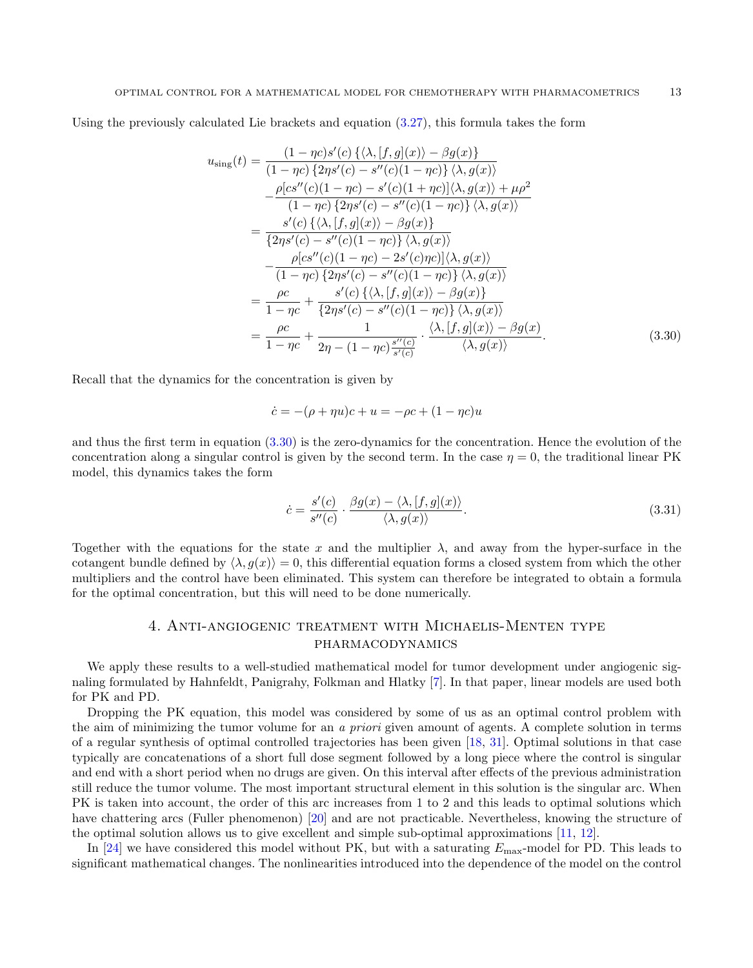Using the previously calculated Lie brackets and equation [\(3.27\)](#page-10-3), this formula takes the form

<span id="page-12-0"></span>
$$
u_{\text{sing}}(t) = \frac{(1 - \eta c)s'(c)\{\langle \lambda, [f, g](x)\rangle - \beta g(x)\}}{(1 - \eta c)\{2\eta s'(c) - s''(c)(1 - \eta c)\}\langle \lambda, g(x)\rangle} \n- \frac{\rho[c s''(c)(1 - \eta c) - s'(c)(1 + \eta c)]\langle \lambda, g(x)\rangle + \mu \rho^2}{(1 - \eta c)\{2\eta s'(c) - s''(c)(1 - \eta c)\}\langle \lambda, g(x)\rangle} \n= \frac{s'(c)\{\langle \lambda, [f, g](x)\rangle - \beta g(x)\}}{\{2\eta s'(c) - s''(c)(1 - \eta c)\}\langle \lambda, g(x)\rangle} \n- \frac{\rho[c s''(c)(1 - \eta c) - 2s'(c)\eta c)]\langle \lambda, g(x)\rangle}{(1 - \eta c)\{2\eta s'(c) - s''(c)(1 - \eta c)\}\langle \lambda, g(x)\rangle} \n= \frac{\rho c}{1 - \eta c} + \frac{s'(c)\{\langle \lambda, [f, g](x)\rangle - \beta g(x)\}}{\{2\eta s'(c) - s''(c)(1 - \eta c)\}\langle \lambda, g(x)\rangle} \n= \frac{\rho c}{1 - \eta c} + \frac{1}{2\eta - (1 - \eta c)\frac{s''(c)}{s'(c)}} \cdot \frac{\langle \lambda, [f, g](x)\rangle - \beta g(x)}{\langle \lambda, g(x)\rangle}.
$$
\n(3.30)

Recall that the dynamics for the concentration is given by

$$
\dot{c} = -(\rho + \eta u)c + u = -\rho c + (1 - \eta c)u
$$

and thus the first term in equation  $(3.30)$  is the zero-dynamics for the concentration. Hence the evolution of the concentration along a singular control is given by the second term. In the case  $\eta = 0$ , the traditional linear PK model, this dynamics takes the form

$$
\dot{c} = \frac{s'(c)}{s''(c)} \cdot \frac{\beta g(x) - \langle \lambda, [f, g](x) \rangle}{\langle \lambda, g(x) \rangle}.
$$
\n(3.31)

Together with the equations for the state x and the multiplier  $\lambda$ , and away from the hyper-surface in the cotangent bundle defined by  $\langle \lambda, g(x) \rangle = 0$ , this differential equation forms a closed system from which the other multipliers and the control have been eliminated. This system can therefore be integrated to obtain a formula for the optimal concentration, but this will need to be done numerically.

## 4. Anti-angiogenic treatment with Michaelis-Menten type pharmacodynamics

We apply these results to a well-studied mathematical model for tumor development under angiogenic signaling formulated by Hahnfeldt, Panigrahy, Folkman and Hlatky [\[7\]](#page-21-20). In that paper, linear models are used both for PK and PD.

Dropping the PK equation, this model was considered by some of us as an optimal control problem with the aim of minimizing the tumor volume for an a priori given amount of agents. A complete solution in terms of a regular synthesis of optimal controlled trajectories has been given [\[18,](#page-21-3) [31\]](#page-22-8). Optimal solutions in that case typically are concatenations of a short full dose segment followed by a long piece where the control is singular and end with a short period when no drugs are given. On this interval after effects of the previous administration still reduce the tumor volume. The most important structural element in this solution is the singular arc. When PK is taken into account, the order of this arc increases from 1 to 2 and this leads to optimal solutions which have chattering arcs (Fuller phenomenon) [\[20\]](#page-21-21) and are not practicable. Nevertheless, knowing the structure of the optimal solution allows us to give excellent and simple sub-optimal approximations [\[11,](#page-21-15) [12\]](#page-21-22).

In [\[24\]](#page-21-23) we have considered this model without PK, but with a saturating  $E_{\text{max}}$ -model for PD. This leads to significant mathematical changes. The nonlinearities introduced into the dependence of the model on the control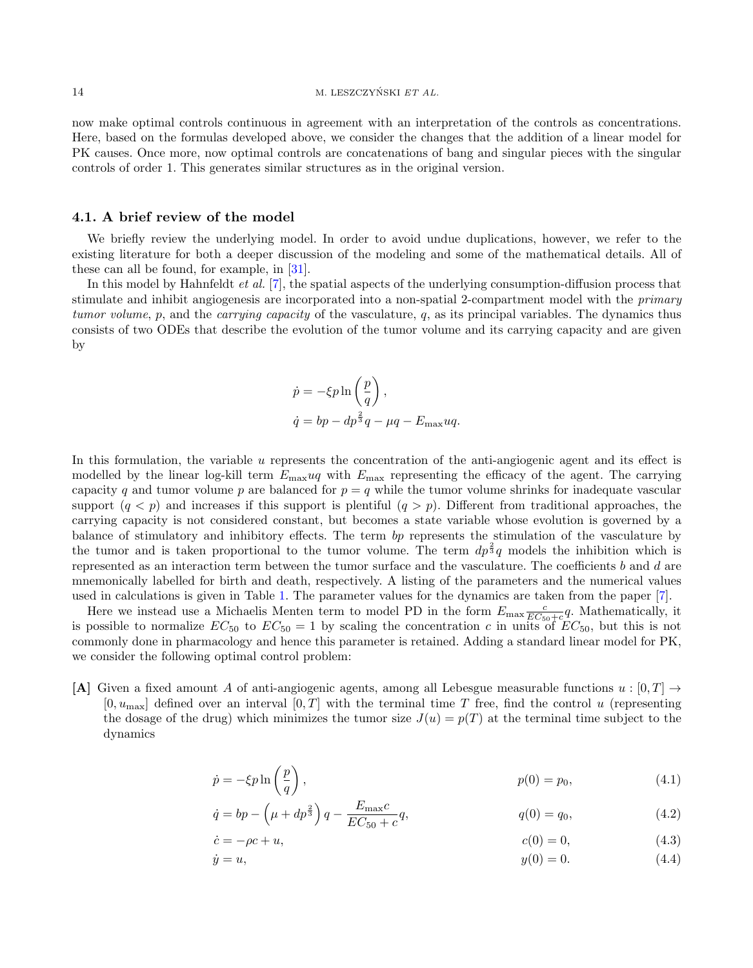now make optimal controls continuous in agreement with an interpretation of the controls as concentrations. Here, based on the formulas developed above, we consider the changes that the addition of a linear model for PK causes. Once more, now optimal controls are concatenations of bang and singular pieces with the singular controls of order 1. This generates similar structures as in the original version.

#### 4.1. A brief review of the model

We briefly review the underlying model. In order to avoid undue duplications, however, we refer to the existing literature for both a deeper discussion of the modeling and some of the mathematical details. All of these can all be found, for example, in [\[31\]](#page-22-8).

In this model by Hahnfeldt *et al.* [\[7\]](#page-21-20), the spatial aspects of the underlying consumption-diffusion process that stimulate and inhibit angiogenesis are incorporated into a non-spatial 2-compartment model with the primary tumor volume, p, and the *carrying capacity* of the vasculature, q, as its principal variables. The dynamics thus consists of two ODEs that describe the evolution of the tumor volume and its carrying capacity and are given by

$$
\dot{p} = -\xi p \ln\left(\frac{p}{q}\right),
$$
  

$$
\dot{q} = bp - dp^{\frac{2}{3}}q - \mu q - E_{\text{max}}uq.
$$

In this formulation, the variable u represents the concentration of the anti-angiogenic agent and its effect is modelled by the linear log-kill term  $E_{\text{max}}uq$  with  $E_{\text{max}}$  representing the efficacy of the agent. The carrying capacity q and tumor volume p are balanced for  $p = q$  while the tumor volume shrinks for inadequate vascular support  $(q < p)$  and increases if this support is plentiful  $(q > p)$ . Different from traditional approaches, the carrying capacity is not considered constant, but becomes a state variable whose evolution is governed by a balance of stimulatory and inhibitory effects. The term bp represents the stimulation of the vasculature by the tumor and is taken proportional to the tumor volume. The term  $dp^{\frac{2}{3}}q$  models the inhibition which is represented as an interaction term between the tumor surface and the vasculature. The coefficients b and d are mnemonically labelled for birth and death, respectively. A listing of the parameters and the numerical values used in calculations is given in Table [1.](#page-14-0) The parameter values for the dynamics are taken from the paper [\[7\]](#page-21-20).

Here we instead use a Michaelis Menten term to model PD in the form  $E_{\text{max}} \frac{c}{EC_{50}+c} q$ . Mathematically, it is possible to normalize  $EC_{50}$  to  $EC_{50} = 1$  by scaling the concentration c in units of  $EC_{50}$ , but this is not commonly done in pharmacology and hence this parameter is retained. Adding a standard linear model for PK, we consider the following optimal control problem:

[A] Given a fixed amount A of anti-angiogenic agents, among all Lebesgue measurable functions  $u:[0,T] \to$  $[0, u_{\text{max}}]$  defined over an interval  $[0, T]$  with the terminal time T free, find the control u (representing the dosage of the drug) which minimizes the tumor size  $J(u) = p(T)$  at the terminal time subject to the dynamics

$$
\dot{p} = -\xi p \ln\left(\frac{p}{q}\right),\tag{4.1}
$$

<span id="page-13-0"></span>
$$
\dot{q} = bp - \left(\mu + dp^{\frac{2}{3}}\right)q - \frac{E_{\text{max}}c}{EC_{50} + c}q, \qquad q(0) = q_0,\tag{4.2}
$$

$$
\dot{c} = -\rho c + u,\tag{4.3}
$$

$$
\dot{y} = u,\tag{4.4}
$$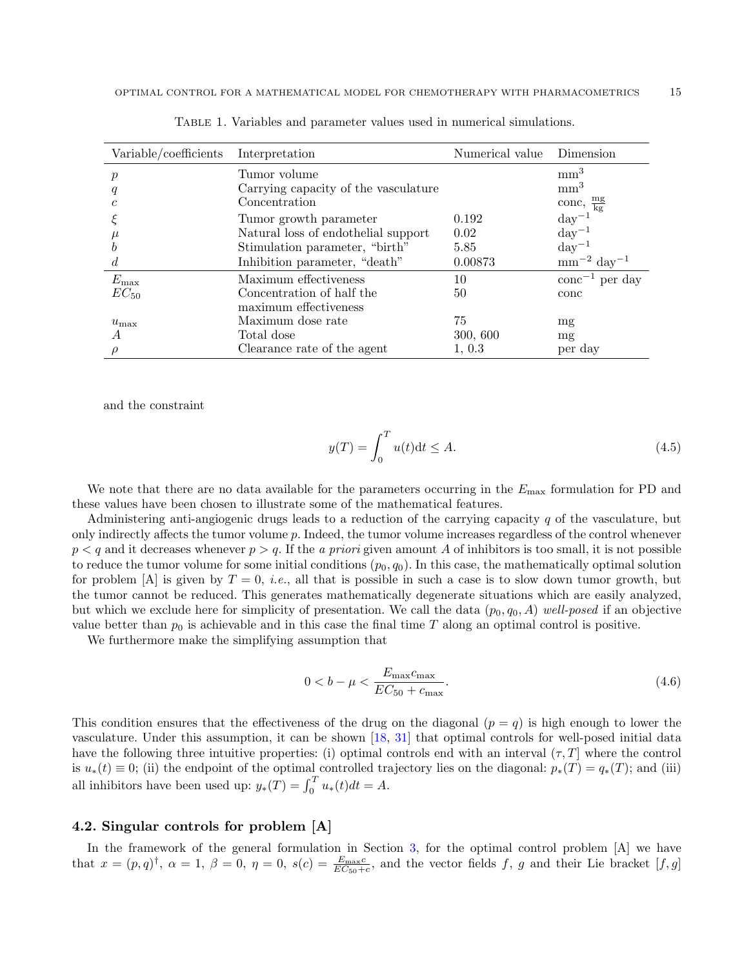| Variable/coefficients | Interpretation                       | Numerical value | Dimension                       |
|-----------------------|--------------------------------------|-----------------|---------------------------------|
| $\boldsymbol{p}$      | Tumor volume                         |                 | mm <sup>3</sup>                 |
| q                     | Carrying capacity of the vasculature |                 | mm <sup>3</sup>                 |
| c                     | Concentration                        |                 | conc, $\frac{mg}{kg}$           |
|                       | Tumor growth parameter               | 0.192           | $\mathrm{day}^{-1}$             |
| $\mu$                 | Natural loss of endothelial support  | 0.02            | $\mathrm{day}^{-1}$             |
| h                     | Stimulation parameter, "birth"       | 5.85            | $\rm day^{-1}$                  |
| đ.                    | Inhibition parameter, "death"        | 0.00873         | $\rm mm^{-2}$ day <sup>-1</sup> |
| $E_{\rm max}$         | Maximum effectiveness                | 10              | $\rm{conc}^{-1}$ per day        |
| $EC_{50}$             | Concentration of half the            | 50              | conc                            |
|                       | maximum effectiveness                |                 |                                 |
| $u_{\text{max}}$      | Maximum dose rate                    | 75              | mg                              |
| A                     | Total dose                           | 300, 600        | mg                              |
|                       | Clearance rate of the agent          | 1, 0.3          | per day                         |

<span id="page-14-0"></span>Table 1. Variables and parameter values used in numerical simulations.

and the constraint

$$
y(T) = \int_0^T u(t)dt \le A.
$$
\n(4.5)

We note that there are no data available for the parameters occurring in the  $E_{\text{max}}$  formulation for PD and these values have been chosen to illustrate some of the mathematical features.

Administering anti-angiogenic drugs leads to a reduction of the carrying capacity  $q$  of the vasculature, but only indirectly affects the tumor volume p. Indeed, the tumor volume increases regardless of the control whenever  $p < q$  and it decreases whenever  $p > q$ . If the a priori given amount A of inhibitors is too small, it is not possible to reduce the tumor volume for some initial conditions  $(p_0, q_0)$ . In this case, the mathematically optimal solution for problem [A] is given by  $T = 0$ , *i.e.*, all that is possible in such a case is to slow down tumor growth, but the tumor cannot be reduced. This generates mathematically degenerate situations which are easily analyzed, but which we exclude here for simplicity of presentation. We call the data  $(p_0, q_0, A)$  well-posed if an objective value better than  $p_0$  is achievable and in this case the final time T along an optimal control is positive.

We furthermore make the simplifying assumption that

$$
0 < b - \mu < \frac{E_{\text{max}}c_{\text{max}}}{EC_{50} + c_{\text{max}}}.
$$
\n(4.6)

This condition ensures that the effectiveness of the drug on the diagonal  $(p = q)$  is high enough to lower the vasculature. Under this assumption, it can be shown [\[18,](#page-21-3) [31\]](#page-22-8) that optimal controls for well-posed initial data have the following three intuitive properties: (i) optimal controls end with an interval  $(\tau, T]$  where the control is  $u_*(t) \equiv 0$ ; (ii) the endpoint of the optimal controlled trajectory lies on the diagonal:  $p_*(T) = q_*(T)$ ; and (iii) all inhibitors have been used up:  $y_*(T) = \int_0^T u_*(t) dt = A$ .

## 4.2. Singular controls for problem [A]

In the framework of the general formulation in Section [3,](#page-4-2) for the optimal control problem [A] we have that  $x = (p, q)^\dagger$ ,  $\alpha = 1$ ,  $\beta = 0$ ,  $\eta = 0$ ,  $s(c) = \frac{E_{\text{max}}c}{EC_{50}+c}$ , and the vector fields f, g and their Lie bracket  $[f, g]$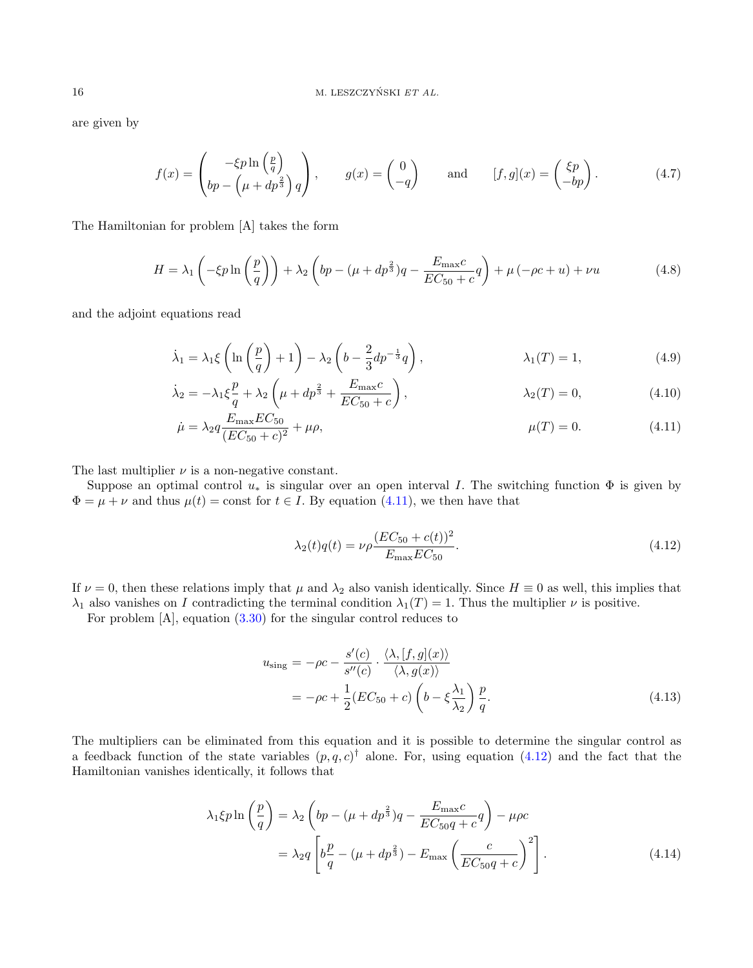are given by

$$
f(x) = \begin{pmatrix} -\xi p \ln\left(\frac{p}{q}\right) \\ bp - \left(\mu + dp^{\frac{2}{3}}\right)q \end{pmatrix}, \qquad g(x) = \begin{pmatrix} 0 \\ -q \end{pmatrix} \qquad \text{and} \qquad [f, g](x) = \begin{pmatrix} \xi p \\ -bp \end{pmatrix}.
$$
 (4.7)

The Hamiltonian for problem [A] takes the form

$$
H = \lambda_1 \left( -\xi p \ln \left( \frac{p}{q} \right) \right) + \lambda_2 \left( bp - \left( \mu + dp^{\frac{2}{3}} \right) q - \frac{E_{\text{max}}c}{EC_{50} + c} q \right) + \mu \left( -\rho c + u \right) + \nu u \tag{4.8}
$$

and the adjoint equations read

$$
\dot{\lambda}_1 = \lambda_1 \xi \left( \ln \left( \frac{p}{q} \right) + 1 \right) - \lambda_2 \left( b - \frac{2}{3} dp^{-\frac{1}{3}} q \right), \qquad \lambda_1(T) = 1, \tag{4.9}
$$

$$
\dot{\lambda}_2 = -\lambda_1 \xi \frac{p}{q} + \lambda_2 \left( \mu + dp^{\frac{2}{3}} + \frac{E_{\text{max}}c}{EC_{50} + c} \right), \qquad \lambda_2(T) = 0, \qquad (4.10)
$$

$$
\dot{\mu} = \lambda_2 q \frac{E_{\text{max}} EC_{50}}{(EC_{50} + c)^2} + \mu \rho, \qquad \mu(T) = 0. \tag{4.11}
$$

The last multiplier  $\nu$  is a non-negative constant.

Suppose an optimal control  $u_*$  is singular over an open interval I. The switching function  $\Phi$  is given by  $\Phi = \mu + \nu$  and thus  $\mu(t) = \text{const}$  for  $t \in I$ . By equation [\(4.11\)](#page-15-0), we then have that

<span id="page-15-1"></span><span id="page-15-0"></span>
$$
\lambda_2(t)q(t) = \nu \rho \frac{(EC_{50} + c(t))^2}{E_{\text{max}}EC_{50}}.
$$
\n(4.12)

If  $\nu = 0$ , then these relations imply that  $\mu$  and  $\lambda_2$  also vanish identically. Since  $H \equiv 0$  as well, this implies that  $\lambda_1$  also vanishes on I contradicting the terminal condition  $\lambda_1(T) = 1$ . Thus the multiplier  $\nu$  is positive.

For problem [A], equation [\(3.30\)](#page-12-0) for the singular control reduces to

<span id="page-15-2"></span>
$$
u_{\text{sing}} = -\rho c - \frac{s'(c)}{s''(c)} \cdot \frac{\langle \lambda, [f, g](x) \rangle}{\langle \lambda, g(x) \rangle}
$$
  
= 
$$
-\rho c + \frac{1}{2} (EC_{50} + c) \left( b - \xi \frac{\lambda_1}{\lambda_2} \right) \frac{p}{q}.
$$
 (4.13)

The multipliers can be eliminated from this equation and it is possible to determine the singular control as a feedback function of the state variables  $(p, q, c)$ <sup>†</sup> alone. For, using equation [\(4.12\)](#page-15-1) and the fact that the Hamiltonian vanishes identically, it follows that

$$
\lambda_1 \xi p \ln \left( \frac{p}{q} \right) = \lambda_2 \left( bp - (\mu + dp^{\frac{2}{3}})q - \frac{E_{\text{max}}c}{EC_{50}q + c}q \right) - \mu \rho c
$$

$$
= \lambda_2 q \left[ b \frac{p}{q} - (\mu + dp^{\frac{2}{3}}) - E_{\text{max}} \left( \frac{c}{EC_{50}q + c} \right)^2 \right]. \tag{4.14}
$$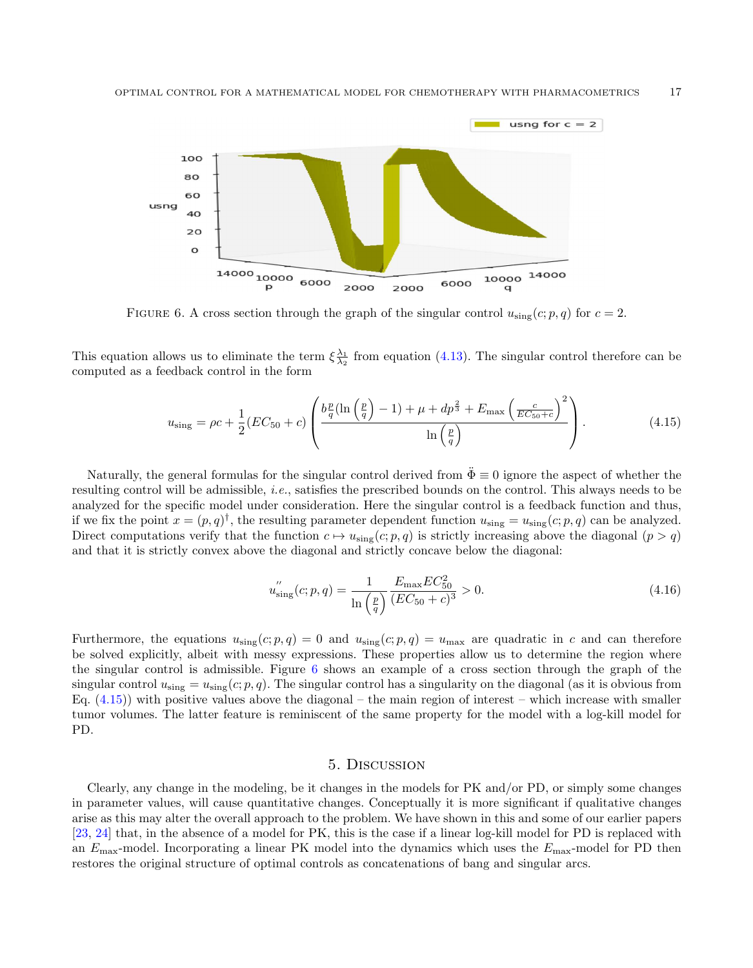

<span id="page-16-0"></span>FIGURE 6. A cross section through the graph of the singular control  $u_{\text{sing}}(c; p, q)$  for  $c = 2$ .

This equation allows us to eliminate the term  $\xi \frac{\lambda_1}{\lambda_2}$  from equation [\(4.13\)](#page-15-2). The singular control therefore can be computed as a feedback control in the form

<span id="page-16-1"></span>
$$
u_{\rm sing} = \rho c + \frac{1}{2} (EC_{50} + c) \left( \frac{b_q^p (\ln\left(\frac{p}{q}\right) - 1) + \mu + dp^{\frac{2}{3}} + E_{\rm max} \left(\frac{c}{EC_{50} + c}\right)^2}{\ln\left(\frac{p}{q}\right)} \right). \tag{4.15}
$$

Naturally, the general formulas for the singular control derived from  $\ddot{\Phi} \equiv 0$  ignore the aspect of whether the resulting control will be admissible, i.e., satisfies the prescribed bounds on the control. This always needs to be analyzed for the specific model under consideration. Here the singular control is a feedback function and thus, if we fix the point  $x = (p, q)^\dagger$ , the resulting parameter dependent function  $u_{\text{sing}} = u_{\text{sing}}(c; p, q)$  can be analyzed. Direct computations verify that the function  $c \mapsto u_{\text{sing}}(c; p, q)$  is strictly increasing above the diagonal  $(p > q)$ and that it is strictly convex above the diagonal and strictly concave below the diagonal:

$$
u_{\text{sing}}'(c;p,q) = \frac{1}{\ln\left(\frac{p}{q}\right)} \frac{E_{\text{max}} EC_{50}^2}{(EC_{50} + c)^3} > 0. \tag{4.16}
$$

Furthermore, the equations  $u_{\text{sing}}(c; p, q) = 0$  and  $u_{\text{sing}}(c; p, q) = u_{\text{max}}$  are quadratic in c and can therefore be solved explicitly, albeit with messy expressions. These properties allow us to determine the region where the singular control is admissible. Figure [6](#page-16-0) shows an example of a cross section through the graph of the singular control  $u_{\text{sing}} = u_{\text{sing}}(c; p, q)$ . The singular control has a singularity on the diagonal (as it is obvious from Eq.  $(4.15)$ ) with positive values above the diagonal – the main region of interest – which increase with smaller tumor volumes. The latter feature is reminiscent of the same property for the model with a log-kill model for PD.

#### 5. Discussion

Clearly, any change in the modeling, be it changes in the models for PK and/or PD, or simply some changes in parameter values, will cause quantitative changes. Conceptually it is more significant if qualitative changes arise as this may alter the overall approach to the problem. We have shown in this and some of our earlier papers [\[23,](#page-21-24) [24\]](#page-21-23) that, in the absence of a model for PK, this is the case if a linear log-kill model for PD is replaced with an  $E_{\text{max}}$ -model. Incorporating a linear PK model into the dynamics which uses the  $E_{\text{max}}$ -model for PD then restores the original structure of optimal controls as concatenations of bang and singular arcs.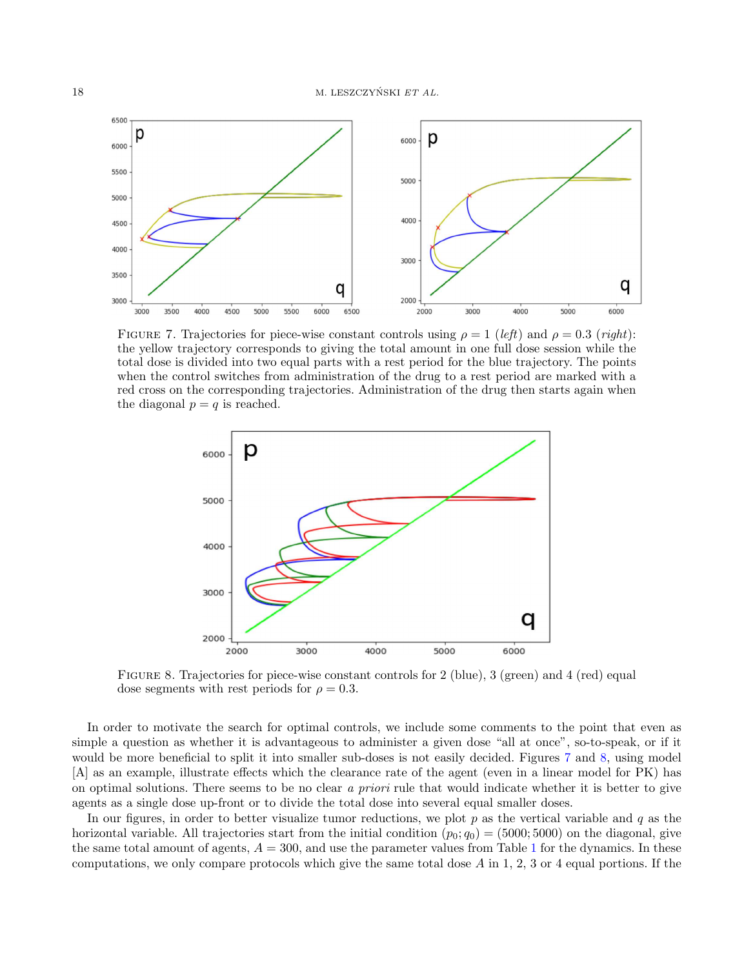

<span id="page-17-0"></span>FIGURE 7. Trajectories for piece-wise constant controls using  $\rho = 1$  (left) and  $\rho = 0.3$  (right): the yellow trajectory corresponds to giving the total amount in one full dose session while the total dose is divided into two equal parts with a rest period for the blue trajectory. The points when the control switches from administration of the drug to a rest period are marked with a red cross on the corresponding trajectories. Administration of the drug then starts again when the diagonal  $p = q$  is reached.



<span id="page-17-1"></span>FIGURE 8. Trajectories for piece-wise constant controls for 2 (blue), 3 (green) and 4 (red) equal dose segments with rest periods for  $\rho = 0.3$ .

In order to motivate the search for optimal controls, we include some comments to the point that even as simple a question as whether it is advantageous to administer a given dose "all at once", so-to-speak, or if it would be more beneficial to split it into smaller sub-doses is not easily decided. Figures [7](#page-17-0) and [8,](#page-17-1) using model [A] as an example, illustrate effects which the clearance rate of the agent (even in a linear model for PK) has on optimal solutions. There seems to be no clear a priori rule that would indicate whether it is better to give agents as a single dose up-front or to divide the total dose into several equal smaller doses.

In our figures, in order to better visualize tumor reductions, we plot  $p$  as the vertical variable and  $q$  as the horizontal variable. All trajectories start from the initial condition  $(p_0; q_0) = (5000; 5000)$  on the diagonal, give the same total amount of agents,  $A = 300$ , and use the parameter values from Table [1](#page-14-0) for the dynamics. In these computations, we only compare protocols which give the same total dose  $A$  in 1, 2, 3 or 4 equal portions. If the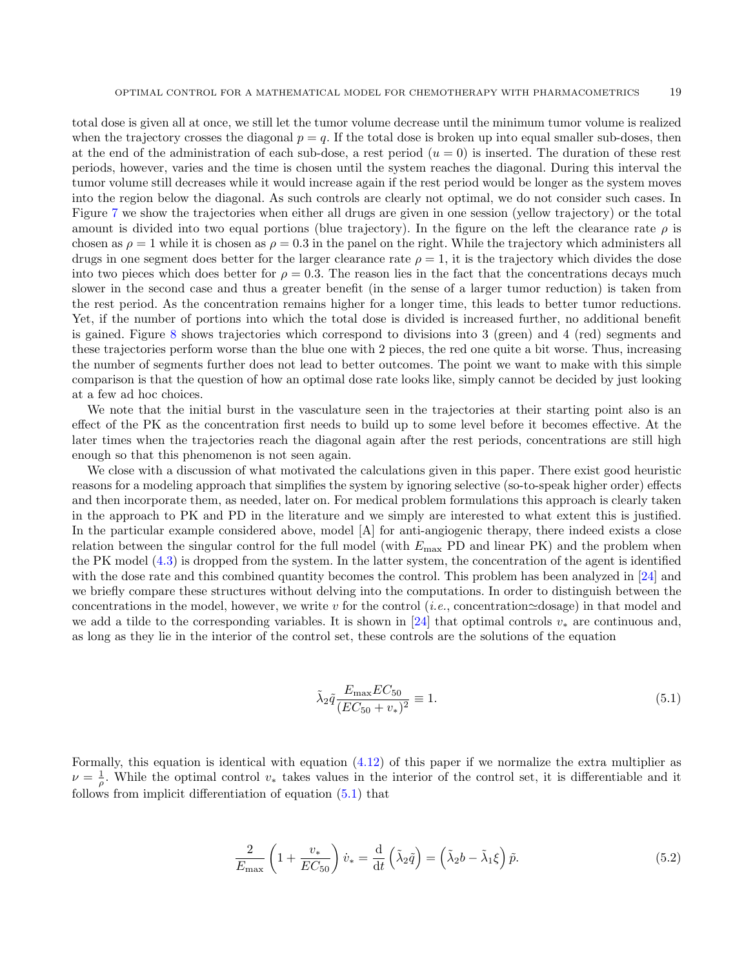total dose is given all at once, we still let the tumor volume decrease until the minimum tumor volume is realized when the trajectory crosses the diagonal  $p = q$ . If the total dose is broken up into equal smaller sub-doses, then at the end of the administration of each sub-dose, a rest period  $(u = 0)$  is inserted. The duration of these rest periods, however, varies and the time is chosen until the system reaches the diagonal. During this interval the tumor volume still decreases while it would increase again if the rest period would be longer as the system moves into the region below the diagonal. As such controls are clearly not optimal, we do not consider such cases. In Figure [7](#page-17-0) we show the trajectories when either all drugs are given in one session (yellow trajectory) or the total amount is divided into two equal portions (blue trajectory). In the figure on the left the clearance rate  $\rho$  is chosen as  $\rho = 1$  while it is chosen as  $\rho = 0.3$  in the panel on the right. While the trajectory which administers all drugs in one segment does better for the larger clearance rate  $\rho = 1$ , it is the trajectory which divides the dose into two pieces which does better for  $\rho = 0.3$ . The reason lies in the fact that the concentrations decays much slower in the second case and thus a greater benefit (in the sense of a larger tumor reduction) is taken from the rest period. As the concentration remains higher for a longer time, this leads to better tumor reductions. Yet, if the number of portions into which the total dose is divided is increased further, no additional benefit is gained. Figure [8](#page-17-1) shows trajectories which correspond to divisions into 3 (green) and 4 (red) segments and these trajectories perform worse than the blue one with 2 pieces, the red one quite a bit worse. Thus, increasing the number of segments further does not lead to better outcomes. The point we want to make with this simple comparison is that the question of how an optimal dose rate looks like, simply cannot be decided by just looking at a few ad hoc choices.

We note that the initial burst in the vasculature seen in the trajectories at their starting point also is an effect of the PK as the concentration first needs to build up to some level before it becomes effective. At the later times when the trajectories reach the diagonal again after the rest periods, concentrations are still high enough so that this phenomenon is not seen again.

We close with a discussion of what motivated the calculations given in this paper. There exist good heuristic reasons for a modeling approach that simplifies the system by ignoring selective (so-to-speak higher order) effects and then incorporate them, as needed, later on. For medical problem formulations this approach is clearly taken in the approach to PK and PD in the literature and we simply are interested to what extent this is justified. In the particular example considered above, model [A] for anti-angiogenic therapy, there indeed exists a close relation between the singular control for the full model (with  $E_{\text{max}}$  PD and linear PK) and the problem when the PK model [\(4.3\)](#page-13-0) is dropped from the system. In the latter system, the concentration of the agent is identified with the dose rate and this combined quantity becomes the control. This problem has been analyzed in [\[24\]](#page-21-23) and we briefly compare these structures without delving into the computations. In order to distinguish between the concentrations in the model, however, we write v for the control (*i.e.*, concentration $\simeq$ dosage) in that model and we add a tilde to the corresponding variables. It is shown in [\[24\]](#page-21-23) that optimal controls  $v_*$  are continuous and, as long as they lie in the interior of the control set, these controls are the solutions of the equation

<span id="page-18-0"></span>
$$
\tilde{\lambda}_2 \tilde{q} \frac{E_{\text{max}} EC_{50}}{(EC_{50} + v_*)^2} \equiv 1.
$$
\n(5.1)

Formally, this equation is identical with equation [\(4.12\)](#page-15-1) of this paper if we normalize the extra multiplier as  $\nu = \frac{1}{\rho}$ . While the optimal control  $v_*$  takes values in the interior of the control set, it is differentiable and it follows from implicit differentiation of equation [\(5.1\)](#page-18-0) that

$$
\frac{2}{E_{\text{max}}} \left( 1 + \frac{v_*}{EC_{50}} \right) \dot{v}_* = \frac{\mathrm{d}}{\mathrm{d}t} \left( \tilde{\lambda}_2 \tilde{q} \right) = \left( \tilde{\lambda}_2 b - \tilde{\lambda}_1 \xi \right) \tilde{p}.\tag{5.2}
$$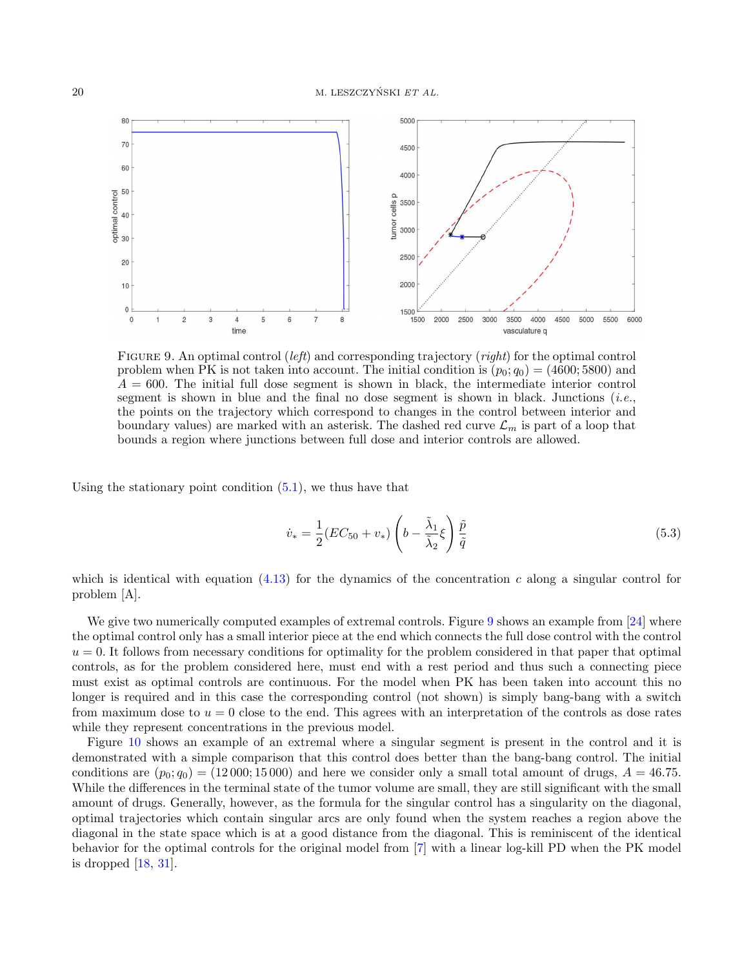

<span id="page-19-0"></span>FIGURE 9. An optimal control (left) and corresponding trajectory (right) for the optimal control problem when PK is not taken into account. The initial condition is  $(p_0; q_0) = (4600; 5800)$  and  $A = 600$ . The initial full dose segment is shown in black, the intermediate interior control segment is shown in blue and the final no dose segment is shown in black. Junctions (*i.e.*, the points on the trajectory which correspond to changes in the control between interior and boundary values) are marked with an asterisk. The dashed red curve  $\mathcal{L}_m$  is part of a loop that bounds a region where junctions between full dose and interior controls are allowed.

Using the stationary point condition  $(5.1)$ , we thus have that

$$
\dot{v}_* = \frac{1}{2}(EC_{50} + v_*) \left(b - \frac{\tilde{\lambda}_1}{\tilde{\lambda}_2} \xi\right) \frac{\tilde{p}}{\tilde{q}}
$$
\n
$$
\tag{5.3}
$$

which is identical with equation  $(4.13)$  for the dynamics of the concentration c along a singular control for problem [A].

We give two numerically computed examples of extremal controls. Figure [9](#page-19-0) shows an example from [\[24\]](#page-21-23) where the optimal control only has a small interior piece at the end which connects the full dose control with the control  $u = 0$ . It follows from necessary conditions for optimality for the problem considered in that paper that optimal controls, as for the problem considered here, must end with a rest period and thus such a connecting piece must exist as optimal controls are continuous. For the model when PK has been taken into account this no longer is required and in this case the corresponding control (not shown) is simply bang-bang with a switch from maximum dose to  $u = 0$  close to the end. This agrees with an interpretation of the controls as dose rates while they represent concentrations in the previous model.

Figure [10](#page-20-0) shows an example of an extremal where a singular segment is present in the control and it is demonstrated with a simple comparison that this control does better than the bang-bang control. The initial conditions are  $(p_0; q_0) = (12000; 15000)$  and here we consider only a small total amount of drugs,  $A = 46.75$ . While the differences in the terminal state of the tumor volume are small, they are still significant with the small amount of drugs. Generally, however, as the formula for the singular control has a singularity on the diagonal, optimal trajectories which contain singular arcs are only found when the system reaches a region above the diagonal in the state space which is at a good distance from the diagonal. This is reminiscent of the identical behavior for the optimal controls for the original model from [\[7\]](#page-21-20) with a linear log-kill PD when the PK model is dropped  $[18, 31]$  $[18, 31]$ .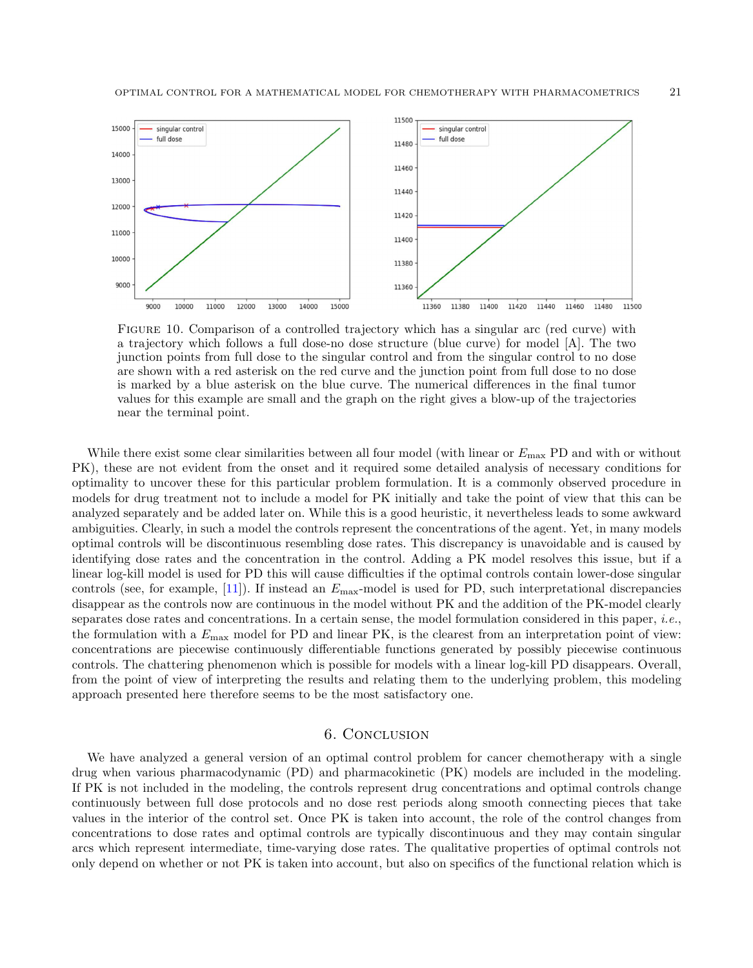

<span id="page-20-0"></span>Figure 10. Comparison of a controlled trajectory which has a singular arc (red curve) with a trajectory which follows a full dose-no dose structure (blue curve) for model [A]. The two junction points from full dose to the singular control and from the singular control to no dose are shown with a red asterisk on the red curve and the junction point from full dose to no dose is marked by a blue asterisk on the blue curve. The numerical differences in the final tumor values for this example are small and the graph on the right gives a blow-up of the trajectories near the terminal point.

While there exist some clear similarities between all four model (with linear or  $E_{\text{max}}$  PD and with or without PK), these are not evident from the onset and it required some detailed analysis of necessary conditions for optimality to uncover these for this particular problem formulation. It is a commonly observed procedure in models for drug treatment not to include a model for PK initially and take the point of view that this can be analyzed separately and be added later on. While this is a good heuristic, it nevertheless leads to some awkward ambiguities. Clearly, in such a model the controls represent the concentrations of the agent. Yet, in many models optimal controls will be discontinuous resembling dose rates. This discrepancy is unavoidable and is caused by identifying dose rates and the concentration in the control. Adding a PK model resolves this issue, but if a linear log-kill model is used for PD this will cause difficulties if the optimal controls contain lower-dose singular controls (see, for example,  $[11]$ ). If instead an  $E_{\text{max}}$ -model is used for PD, such interpretational discrepancies disappear as the controls now are continuous in the model without PK and the addition of the PK-model clearly separates dose rates and concentrations. In a certain sense, the model formulation considered in this paper, i.e., the formulation with a  $E_{\text{max}}$  model for PD and linear PK, is the clearest from an interpretation point of view: concentrations are piecewise continuously differentiable functions generated by possibly piecewise continuous controls. The chattering phenomenon which is possible for models with a linear log-kill PD disappears. Overall, from the point of view of interpreting the results and relating them to the underlying problem, this modeling approach presented here therefore seems to be the most satisfactory one.

## 6. Conclusion

We have analyzed a general version of an optimal control problem for cancer chemotherapy with a single drug when various pharmacodynamic (PD) and pharmacokinetic (PK) models are included in the modeling. If PK is not included in the modeling, the controls represent drug concentrations and optimal controls change continuously between full dose protocols and no dose rest periods along smooth connecting pieces that take values in the interior of the control set. Once PK is taken into account, the role of the control changes from concentrations to dose rates and optimal controls are typically discontinuous and they may contain singular arcs which represent intermediate, time-varying dose rates. The qualitative properties of optimal controls not only depend on whether or not PK is taken into account, but also on specifics of the functional relation which is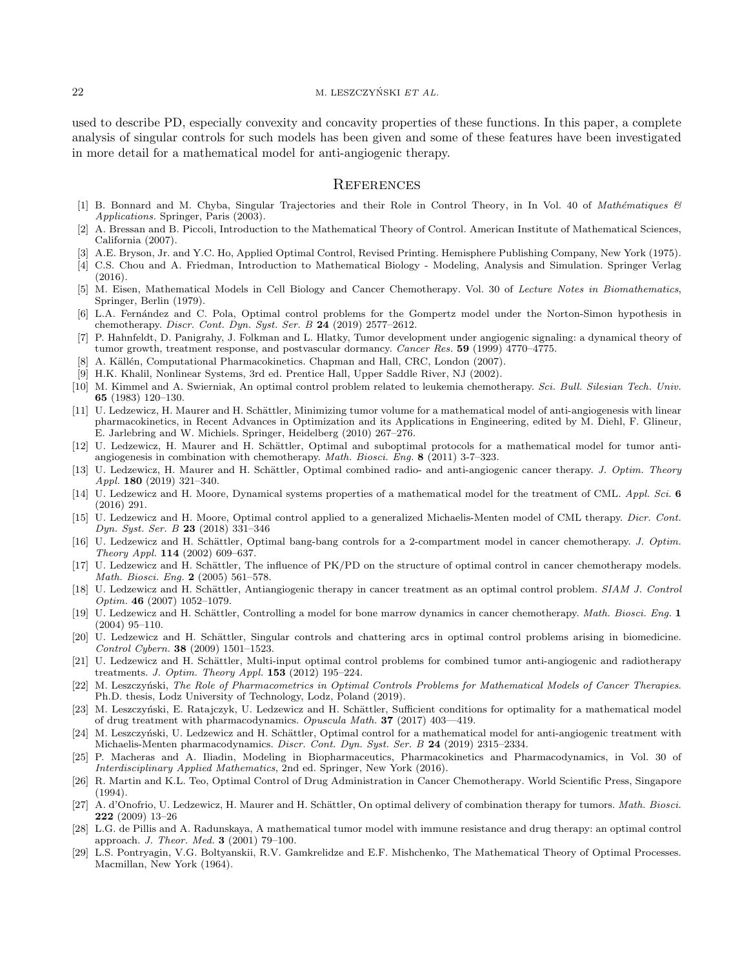used to describe PD, especially convexity and concavity properties of these functions. In this paper, a complete analysis of singular controls for such models has been given and some of these features have been investigated in more detail for a mathematical model for anti-angiogenic therapy.

#### **REFERENCES**

- <span id="page-21-18"></span>[1] B. Bonnard and M. Chyba, Singular Trajectories and their Role in Control Theory, in In Vol. 40 of Mathématiques & Applications. Springer, Paris (2003).
- <span id="page-21-19"></span>[2] A. Bressan and B. Piccoli, Introduction to the Mathematical Theory of Control. American Institute of Mathematical Sciences, California (2007).
- [3] A.E. Bryson, Jr. and Y.C. Ho, Applied Optimal Control, Revised Printing. Hemisphere Publishing Company, New York (1975).
- <span id="page-21-12"></span>[4] C.S. Chou and A. Friedman, Introduction to Mathematical Biology - Modeling, Analysis and Simulation. Springer Verlag (2016).
- <span id="page-21-0"></span>[5] M. Eisen, Mathematical Models in Cell Biology and Cancer Chemotherapy. Vol. 30 of Lecture Notes in Biomathematics, Springer, Berlin (1979).
- [6] L.A. Fern´andez and C. Pola, Optimal control problems for the Gompertz model under the Norton-Simon hypothesis in chemotherapy. Discr. Cont. Dyn. Syst. Ser. B 24 (2019) 2577–2612.
- <span id="page-21-20"></span>[7] P. Hahnfeldt, D. Panigrahy, J. Folkman and L. Hlatky, Tumor development under angiogenic signaling: a dynamical theory of tumor growth, treatment response, and postvascular dormancy. Cancer Res. 59 (1999) 4770–4775.
- <span id="page-21-5"></span>A. Källén, Computational Pharmacokinetics. Chapman and Hall, CRC, London (2007).
- <span id="page-21-16"></span>[9] H.K. Khalil, Nonlinear Systems, 3rd ed. Prentice Hall, Upper Saddle River, NJ (2002).
- <span id="page-21-1"></span>[10] M. Kimmel and A. Swierniak, An optimal control problem related to leukemia chemotherapy. Sci. Bull. Silesian Tech. Univ. 65 (1983) 120–130.
- <span id="page-21-15"></span>[11] U. Ledzewicz, H. Maurer and H. Schättler, Minimizing tumor volume for a mathematical model of anti-angiogenesis with linear pharmacokinetics, in Recent Advances in Optimization and its Applications in Engineering, edited by M. Diehl, F. Glineur, E. Jarlebring and W. Michiels. Springer, Heidelberg (2010) 267–276.
- <span id="page-21-22"></span>[12] U. Ledzewicz, H. Maurer and H. Schättler, Optimal and suboptimal protocols for a mathematical model for tumor antiangiogenesis in combination with chemotherapy. Math. Biosci. Eng. 8 (2011) 3-7–323.
- <span id="page-21-10"></span>[13] U. Ledzewicz, H. Maurer and H. Schättler, Optimal combined radio- and anti-angiogenic cancer therapy. J. Optim. Theory Appl. 180 (2019) 321–340.
- [14] U. Ledzewicz and H. Moore, Dynamical systems properties of a mathematical model for the treatment of CML. Appl. Sci. 6 (2016) 291.
- <span id="page-21-13"></span>[15] U. Ledzewicz and H. Moore, Optimal control applied to a generalized Michaelis-Menten model of CML therapy. Dicr. Cont. Dyn. Syst. Ser. B 23 (2018) 331–346
- [16] U. Ledzewicz and H. Schättler, Optimal bang-bang controls for a 2-compartment model in cancer chemotherapy. J. Optim. Theory Appl. 114 (2002) 609–637.
- <span id="page-21-7"></span>[17] U. Ledzewicz and H. Schättler, The influence of PK/PD on the structure of optimal control in cancer chemotherapy models. Math. Biosci. Eng. 2 (2005) 561–578.
- <span id="page-21-3"></span>[18] U. Ledzewicz and H. Schättler, Antiangiogenic therapy in cancer treatment as an optimal control problem. SIAM J. Control Optim. 46 (2007) 1052–1079.
- <span id="page-21-8"></span>[19] U. Ledzewicz and H. Schättler, Controlling a model for bone marrow dynamics in cancer chemotherapy. Math. Biosci. Eng. 1 (2004) 95–110.
- <span id="page-21-21"></span>[20] U. Ledzewicz and H. Schättler, Singular controls and chattering arcs in optimal control problems arising in biomedicine. Control Cybern. 38 (2009) 1501–1523.
- <span id="page-21-11"></span>[21] U. Ledzewicz and H. Schättler, Multi-input optimal control problems for combined tumor anti-angiogenic and radiotherapy treatments. J. Optim. Theory Appl.  $153$  (2012) 195–224.
- <span id="page-21-17"></span>[22] M. Leszczyński, The Role of Pharmacometrics in Optimal Controls Problems for Mathematical Models of Cancer Therapies. Ph.D. thesis, Lodz University of Technology, Lodz, Poland (2019).
- <span id="page-21-24"></span>[23] M. Leszczyński, E. Ratajczyk, U. Ledzewicz and H. Schättler, Sufficient conditions for optimality for a mathematical model of drug treatment with pharmacodynamics. Opuscula Math. 37 (2017) 403—419.
- <span id="page-21-23"></span>[24] M. Leszczyński, U. Ledzewicz and H. Schättler, Optimal control for a mathematical model for anti-angiogenic treatment with Michaelis-Menten pharmacodynamics. Discr. Cont. Dyn. Syst. Ser. B 24 (2019) 2315–2334.
- <span id="page-21-6"></span>[25] P. Macheras and A. Iliadin, Modeling in Biopharmaceutics, Pharmacokinetics and Pharmacodynamics, in Vol. 30 of Interdisciplinary Applied Mathematics, 2nd ed. Springer, New York (2016).
- <span id="page-21-2"></span>[26] R. Martin and K.L. Teo, Optimal Control of Drug Administration in Cancer Chemotherapy. World Scientific Press, Singapore  $(1994)$ .
- <span id="page-21-9"></span>[27] A. d'Onofrio, U. Ledzewicz, H. Maurer and H. Schättler, On optimal delivery of combination therapy for tumors. Math. Biosci. 222 (2009) 13–26
- <span id="page-21-4"></span>[28] L.G. de Pillis and A. Radunskaya, A mathematical tumor model with immune resistance and drug therapy: an optimal control approach. J. Theor. Med. 3 (2001) 79–100.
- <span id="page-21-14"></span>[29] L.S. Pontryagin, V.G. Boltyanskii, R.V. Gamkrelidze and E.F. Mishchenko, The Mathematical Theory of Optimal Processes. Macmillan, New York (1964).